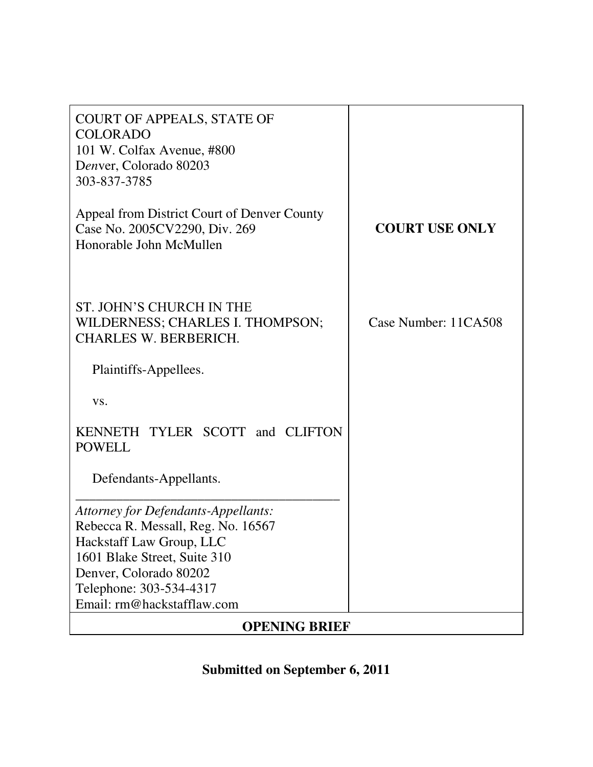| <b>COURT OF APPEALS, STATE OF</b><br><b>COLORADO</b><br>101 W. Colfax Avenue, #800<br>Denver, Colorado 80203<br>303-837-3785                                                                                             |                       |
|--------------------------------------------------------------------------------------------------------------------------------------------------------------------------------------------------------------------------|-----------------------|
| Appeal from District Court of Denver County<br>Case No. 2005CV2290, Div. 269<br>Honorable John McMullen                                                                                                                  | <b>COURT USE ONLY</b> |
| ST. JOHN'S CHURCH IN THE<br>WILDERNESS; CHARLES I. THOMPSON;<br><b>CHARLES W. BERBERICH.</b>                                                                                                                             | Case Number: 11CA508  |
| Plaintiffs-Appellees.                                                                                                                                                                                                    |                       |
| VS.                                                                                                                                                                                                                      |                       |
| KENNETH TYLER SCOTT and CLIFTON<br><b>POWELL</b>                                                                                                                                                                         |                       |
| Defendants-Appellants.                                                                                                                                                                                                   |                       |
| Attorney for Defendants-Appellants:<br>Rebecca R. Messall, Reg. No. 16567<br>Hackstaff Law Group, LLC<br>1601 Blake Street, Suite 310<br>Denver, Colorado 80202<br>Telephone: 303-534-4317<br>Email: rm@hackstafflaw.com |                       |
| <b>OPENING BRIEF</b>                                                                                                                                                                                                     |                       |

**Submitted on September 6, 2011**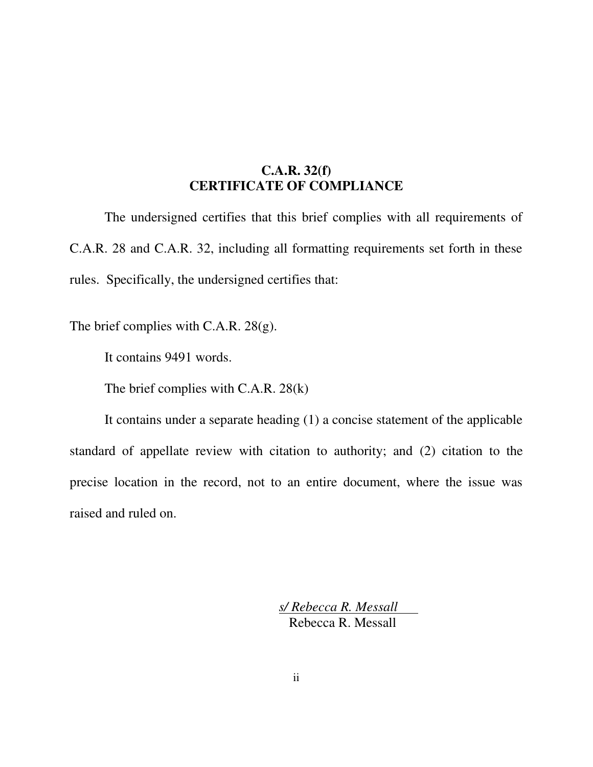## **C.A.R. 32(f) CERTIFICATE OF COMPLIANCE**

The undersigned certifies that this brief complies with all requirements of C.A.R. 28 and C.A.R. 32, including all formatting requirements set forth in these rules. Specifically, the undersigned certifies that:

The brief complies with C.A.R. 28(g).

It contains 9491 words.

The brief complies with C.A.R. 28(k)

It contains under a separate heading (1) a concise statement of the applicable standard of appellate review with citation to authority; and (2) citation to the precise location in the record, not to an entire document, where the issue was raised and ruled on.

> *s/ Rebecca R. Messall*  Rebecca R. Messall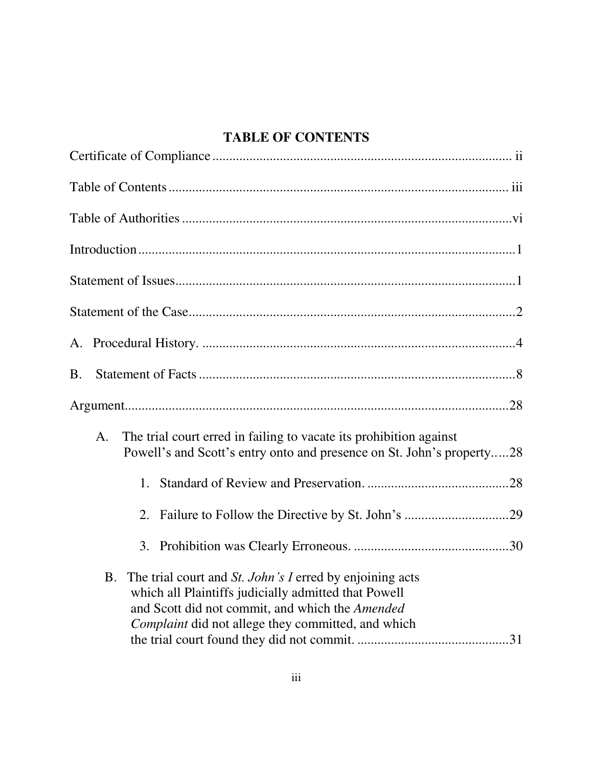## **TABLE OF CONTENTS**

| <b>B.</b>                                                                                                                                                                                                                                     |
|-----------------------------------------------------------------------------------------------------------------------------------------------------------------------------------------------------------------------------------------------|
|                                                                                                                                                                                                                                               |
| The trial court erred in failing to vacate its prohibition against<br>A.<br>Powell's and Scott's entry onto and presence on St. John's property28                                                                                             |
| 1.                                                                                                                                                                                                                                            |
| 2.                                                                                                                                                                                                                                            |
|                                                                                                                                                                                                                                               |
| The trial court and <i>St. John's I</i> erred by enjoining acts<br><b>B.</b><br>which all Plaintiffs judicially admitted that Powell<br>and Scott did not commit, and which the Amended<br>Complaint did not allege they committed, and which |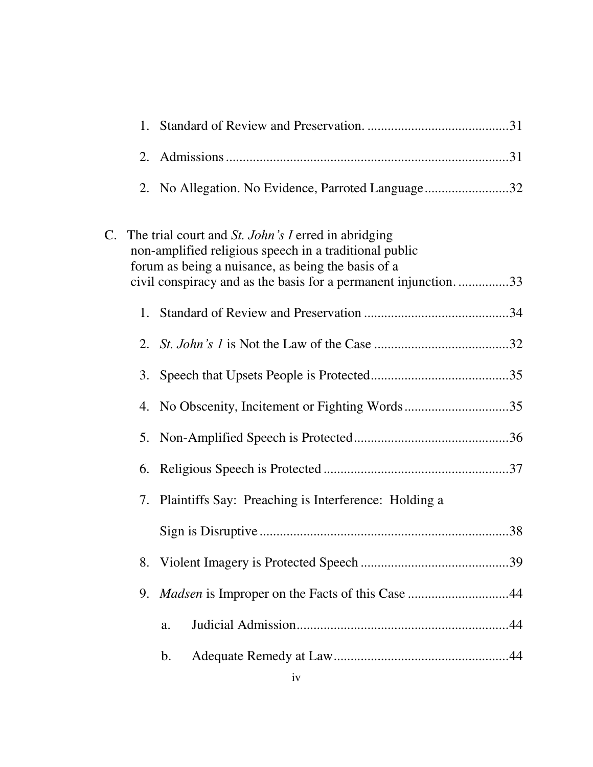| 1.                                                                                                                                                                                                                                       |
|------------------------------------------------------------------------------------------------------------------------------------------------------------------------------------------------------------------------------------------|
| 2.                                                                                                                                                                                                                                       |
| 2. No Allegation. No Evidence, Parroted Language32                                                                                                                                                                                       |
| C. The trial court and St. John's I erred in abridging<br>non-amplified religious speech in a traditional public<br>forum as being a nuisance, as being the basis of a<br>civil conspiracy and as the basis for a permanent injunction33 |
|                                                                                                                                                                                                                                          |
|                                                                                                                                                                                                                                          |
|                                                                                                                                                                                                                                          |
| 4. No Obscenity, Incitement or Fighting Words35                                                                                                                                                                                          |
|                                                                                                                                                                                                                                          |
| 6.                                                                                                                                                                                                                                       |
| 7. Plaintiffs Say: Preaching is Interference: Holding a                                                                                                                                                                                  |
|                                                                                                                                                                                                                                          |
| 8.                                                                                                                                                                                                                                       |
| <i>Madsen</i> is Improper on the Facts of this Case 44<br>9.                                                                                                                                                                             |
| a.                                                                                                                                                                                                                                       |
| $\mathbf b$ .                                                                                                                                                                                                                            |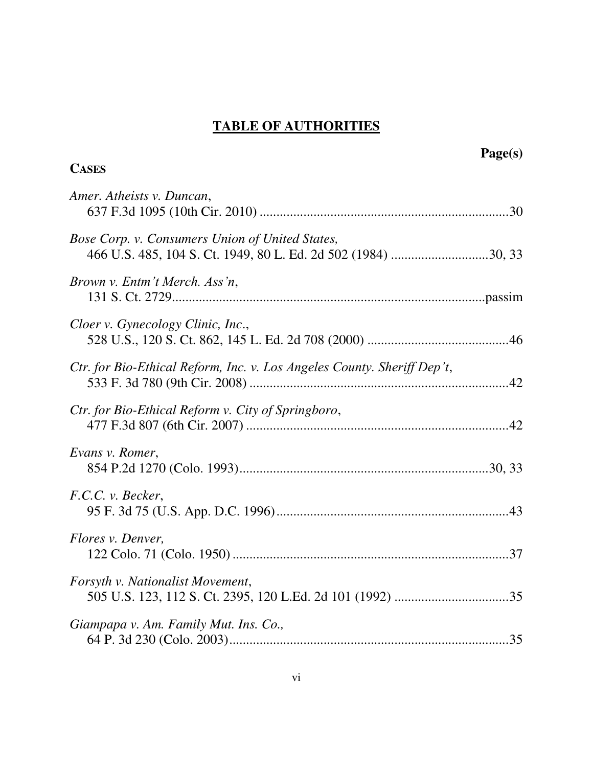# **TABLE OF AUTHORITIES**

|                                                                                                                  | Page(s) |
|------------------------------------------------------------------------------------------------------------------|---------|
| <b>CASES</b>                                                                                                     |         |
| Amer. Atheists v. Duncan,                                                                                        |         |
| Bose Corp. v. Consumers Union of United States,<br>466 U.S. 485, 104 S. Ct. 1949, 80 L. Ed. 2d 502 (1984) 30, 33 |         |
| Brown v. Entm't Merch. Ass'n,                                                                                    |         |
| Cloer v. Gynecology Clinic, Inc.,                                                                                |         |
| Ctr. for Bio-Ethical Reform, Inc. v. Los Angeles County. Sheriff Dep't,                                          |         |
| Ctr. for Bio-Ethical Reform v. City of Springboro,                                                               |         |
| Evans v. Romer,                                                                                                  |         |
| F.C.C. v. Becker,                                                                                                |         |
| Flores v. Denver,                                                                                                |         |
| Forsyth v. Nationalist Movement,                                                                                 |         |
| Giampapa v. Am. Family Mut. Ins. Co.,                                                                            |         |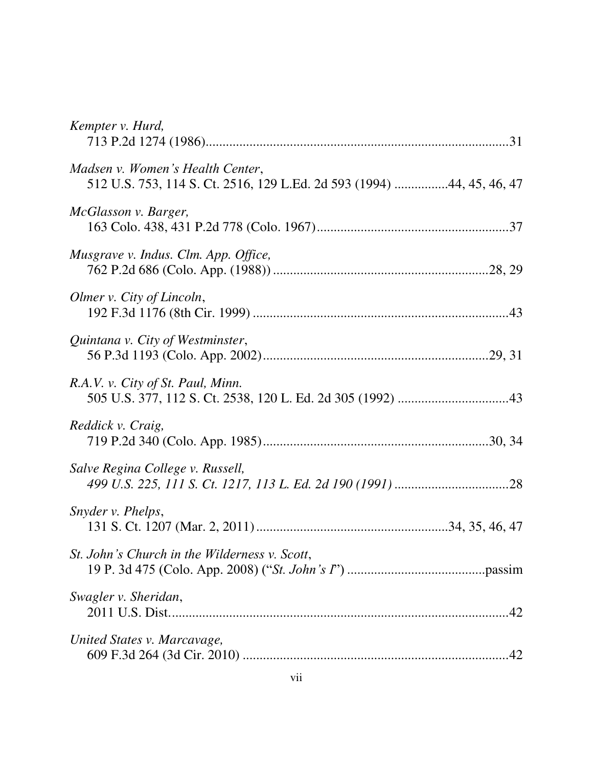| Kempter v. Hurd,                                                                                          |
|-----------------------------------------------------------------------------------------------------------|
| Madsen v. Women's Health Center,<br>512 U.S. 753, 114 S. Ct. 2516, 129 L.Ed. 2d 593 (1994) 44, 45, 46, 47 |
| McGlasson v. Barger,                                                                                      |
| Musgrave v. Indus. Clm. App. Office,                                                                      |
| Olmer v. City of Lincoln,                                                                                 |
| Quintana v. City of Westminster,                                                                          |
| R.A.V. v. City of St. Paul, Minn.                                                                         |
| Reddick v. Craig,                                                                                         |
| Salve Regina College v. Russell,                                                                          |
| Snyder v. Phelps,                                                                                         |
| St. John's Church in the Wilderness v. Scott,                                                             |
| Swagler v. Sheridan,                                                                                      |
| United States v. Marcavage,                                                                               |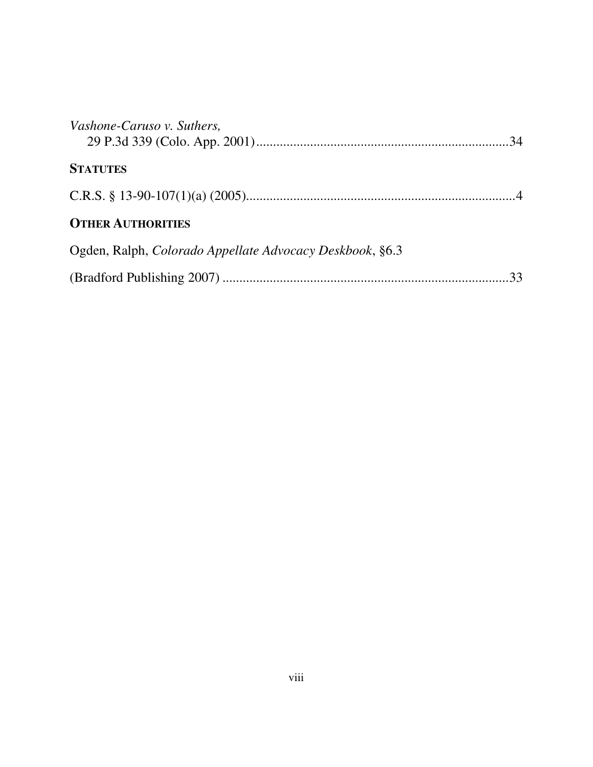| Vashone-Caruso v. Suthers,                               |  |
|----------------------------------------------------------|--|
| <b>STATUTES</b>                                          |  |
|                                                          |  |
| <b>OTHER AUTHORITIES</b>                                 |  |
| Ogden, Ralph, Colorado Appellate Advocacy Deskbook, §6.3 |  |
|                                                          |  |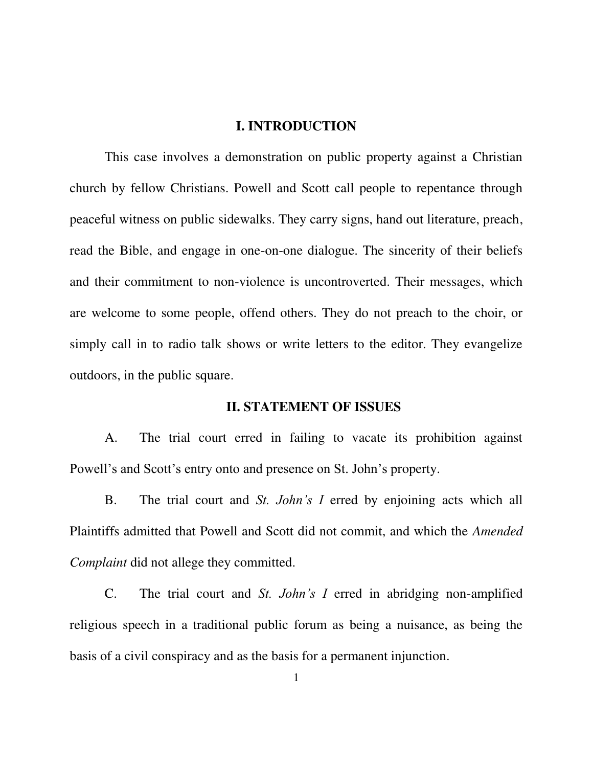#### **I. INTRODUCTION**

This case involves a demonstration on public property against a Christian church by fellow Christians. Powell and Scott call people to repentance through peaceful witness on public sidewalks. They carry signs, hand out literature, preach, read the Bible, and engage in one-on-one dialogue. The sincerity of their beliefs and their commitment to non-violence is uncontroverted. Their messages, which are welcome to some people, offend others. They do not preach to the choir, or simply call in to radio talk shows or write letters to the editor. They evangelize outdoors, in the public square.

#### **II. STATEMENT OF ISSUES**

A. The trial court erred in failing to vacate its prohibition against Powell's and Scott's entry onto and presence on St. John's property.

B. The trial court and *St. John's I* erred by enjoining acts which all Plaintiffs admitted that Powell and Scott did not commit, and which the *Amended Complaint* did not allege they committed.

C. The trial court and *St. John's I* erred in abridging non-amplified religious speech in a traditional public forum as being a nuisance, as being the basis of a civil conspiracy and as the basis for a permanent injunction.

1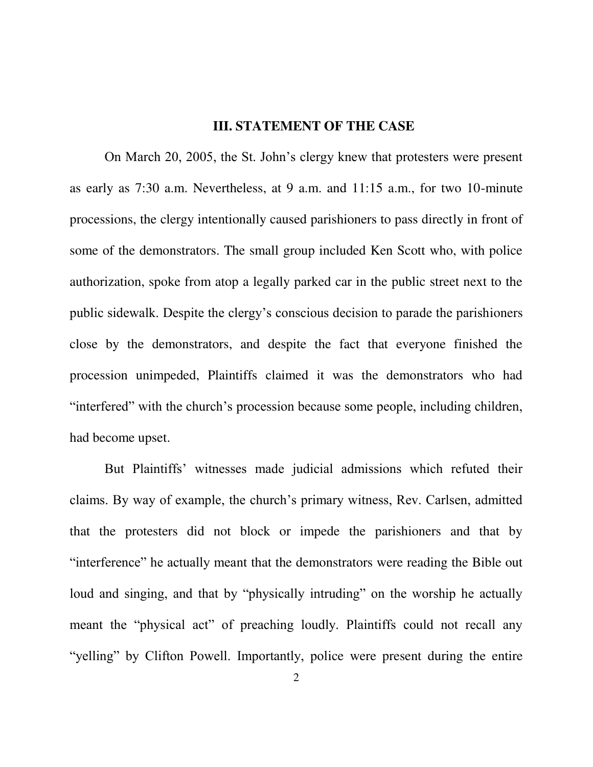#### **III. STATEMENT OF THE CASE**

On March 20, 2005, the St. John"s clergy knew that protesters were present as early as 7:30 a.m. Nevertheless, at 9 a.m. and 11:15 a.m., for two 10-minute processions, the clergy intentionally caused parishioners to pass directly in front of some of the demonstrators. The small group included Ken Scott who, with police authorization, spoke from atop a legally parked car in the public street next to the public sidewalk. Despite the clergy"s conscious decision to parade the parishioners close by the demonstrators, and despite the fact that everyone finished the procession unimpeded, Plaintiffs claimed it was the demonstrators who had "interfered" with the church"s procession because some people, including children, had become upset.

But Plaintiffs" witnesses made judicial admissions which refuted their claims. By way of example, the church"s primary witness, Rev. Carlsen, admitted that the protesters did not block or impede the parishioners and that by "interference" he actually meant that the demonstrators were reading the Bible out loud and singing, and that by "physically intruding" on the worship he actually meant the "physical act" of preaching loudly. Plaintiffs could not recall any "yelling" by Clifton Powell. Importantly, police were present during the entire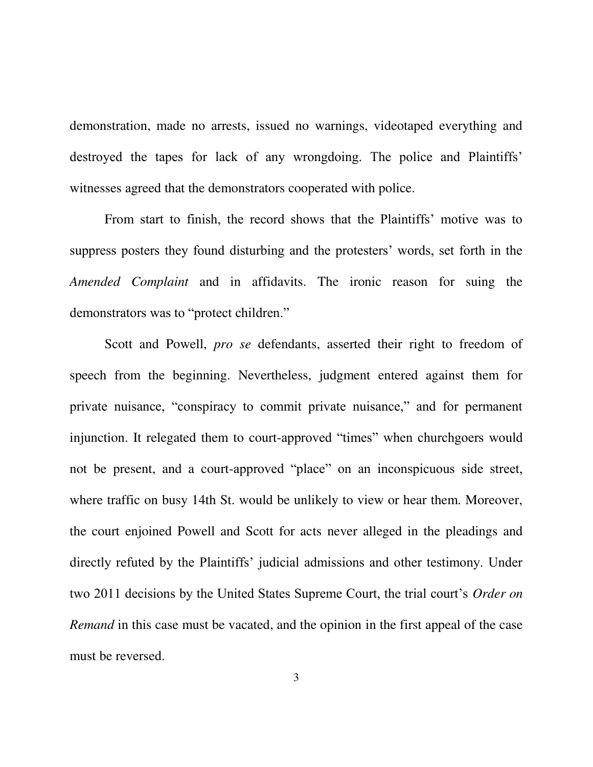demonstration, made no arrests, issued no warnings, videotaped everything and destroyed the tapes for lack of any wrongdoing. The police and Plaintiffs' witnesses agreed that the demonstrators cooperated with police.

From start to finish, the record shows that the Plaintiffs' motive was to suppress posters they found disturbing and the protesters' words, set forth in the *Amended Complaint* and in affidavits. The ironic reason for suing the demonstrators was to "protect children."

Scott and Powell, *pro se* defendants, asserted their right to freedom of speech from the beginning. Nevertheless, judgment entered against them for private nuisance, "conspiracy to commit private nuisance," and for permanent injunction. It relegated them to court-approved "times" when churchgoers would not be present, and a court-approved "place" on an inconspicuous side street, where traffic on busy 14th St. would be unlikely to view or hear them. Moreover, the court enjoined Powell and Scott for acts never alleged in the pleadings and directly refuted by the Plaintiffs" judicial admissions and other testimony. Under two 2011 decisions by the United States Supreme Court, the trial court's *Order on Remand* in this case must be vacated, and the opinion in the first appeal of the case must be reversed.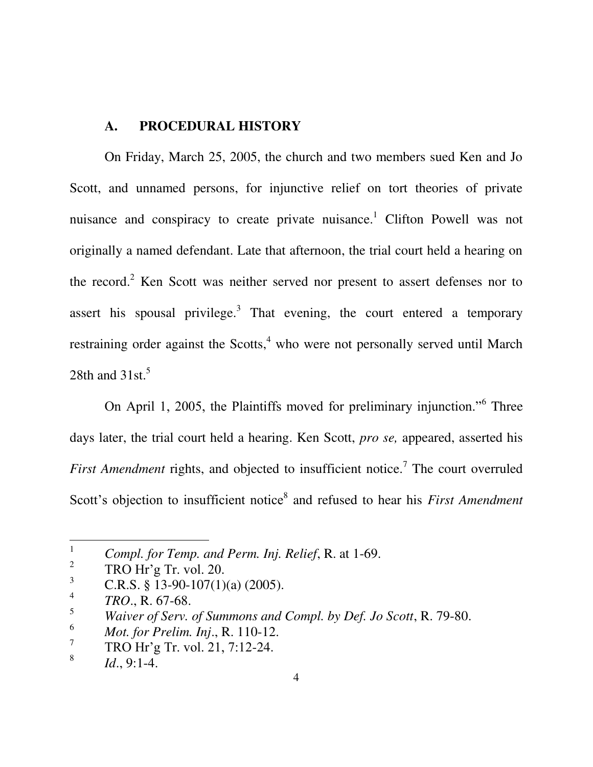## **A. PROCEDURAL HISTORY**

On Friday, March 25, 2005, the church and two members sued Ken and Jo Scott, and unnamed persons, for injunctive relief on tort theories of private nuisance and conspiracy to create private nuisance.<sup>1</sup> Clifton Powell was not originally a named defendant. Late that afternoon, the trial court held a hearing on the record.<sup>2</sup> Ken Scott was neither served nor present to assert defenses nor to assert his spousal privilege.<sup>3</sup> That evening, the court entered a temporary restraining order against the Scotts,<sup>4</sup> who were not personally served until March 28th and  $31st.<sup>5</sup>$ 

On April 1, 2005, the Plaintiffs moved for preliminary injunction."<sup>6</sup> Three days later, the trial court held a hearing. Ken Scott, *pro se,* appeared, asserted his First Amendment rights, and objected to insufficient notice.<sup>7</sup> The court overruled Scott's objection to insufficient notice<sup>8</sup> and refused to hear his *First Amendment* 

<sup>1</sup>  *Compl. for Temp. and Perm. Inj. Relief*, R. at 1-69.

<sup>2</sup> TRO Hr"g Tr. vol. 20.

<span id="page-11-0"></span><sup>&</sup>lt;sup>3</sup> C.R.S. § 13-90-107(1)(a) (2005).

<sup>4</sup> *TRO*., R. 67-68.

<sup>&</sup>lt;sup>5</sup><br>Waiver of Serv. of Summons and Compl. by Def. Jo Scott, R. 79-80.

<sup>6</sup> *Mot. for Prelim. Inj*., R. 110-12.

<sup>7</sup> TRO Hr"g Tr. vol. 21, 7:12-24.

<sup>8</sup> *Id*., 9:1-4.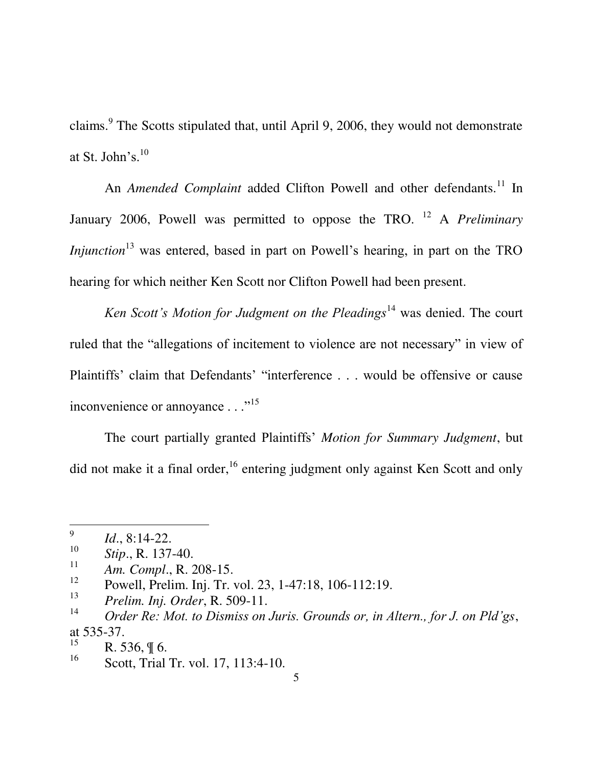claims.<sup>9</sup> The Scotts stipulated that, until April 9, 2006, they would not demonstrate at St. John's. $^{10}$ 

An *Amended Complaint* added Clifton Powell and other defendants.<sup>11</sup> In January 2006, Powell was permitted to oppose the TRO. <sup>12</sup> A *Preliminary Injunction*<sup>13</sup> was entered, based in part on Powell's hearing, in part on the TRO hearing for which neither Ken Scott nor Clifton Powell had been present.

*Ken Scott's Motion for Judgment on the Pleadings*<sup>14</sup> was denied. The court ruled that the "allegations of incitement to violence are not necessary" in view of Plaintiffs' claim that Defendants' "interference . . . would be offensive or cause inconvenience or annoyance . . ."<sup>15</sup>

The court partially granted Plaintiffs" *Motion for Summary Judgment*, but did not make it a final order,  $^{16}$  entering judgment only against Ken Scott and only

<sup>9</sup> *Id*., 8:14-22.

<sup>10</sup> *Stip*., R. 137-40.

<sup>11</sup> *Am. Compl*., R. 208-15.

<sup>12</sup> Powell, Prelim. Inj. Tr. vol. 23, 1-47:18, 106-112:19.

<sup>13</sup> *Prelim. Inj. Order*, R. 509-11.

<sup>14</sup> *Order Re: Mot. to Dismiss on Juris. Grounds or, in Altern., for J. on Pld'gs*, at 535-37.

<sup>15</sup> R. 536, ¶ 6.

<sup>16</sup> Scott, Trial Tr. vol. 17, 113:4-10.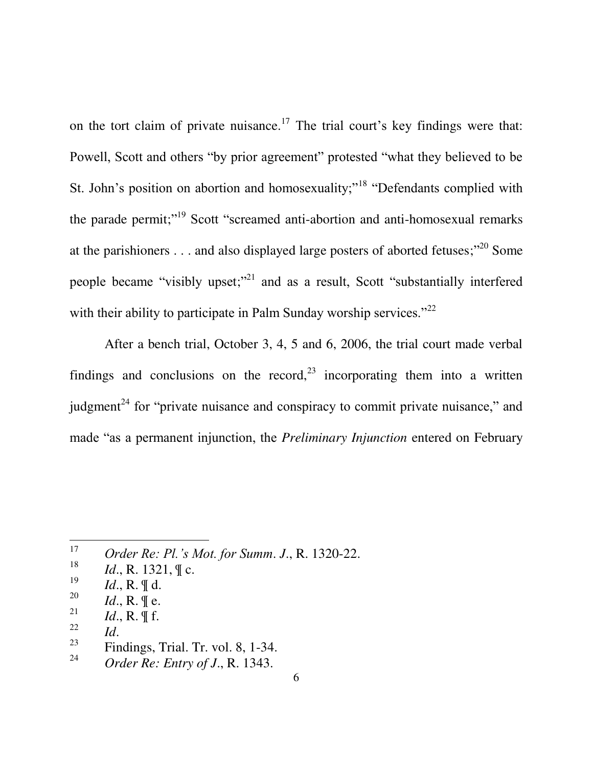on the tort claim of private nuisance.<sup>17</sup> The trial court's key findings were that: Powell, Scott and others "by prior agreement" protested "what they believed to be St. John's position on abortion and homosexuality;"<sup>18</sup> "Defendants complied with the parade permit;"<sup>19</sup> Scott "screamed anti-abortion and anti-homosexual remarks at the parishioners  $\dots$  and also displayed large posters of aborted fetuses;"<sup>20</sup> Some people became "visibly upset;"<sup>21</sup> and as a result, Scott "substantially interfered with their ability to participate in Palm Sunday worship services." $22$ 

After a bench trial, October 3, 4, 5 and 6, 2006, the trial court made verbal findings and conclusions on the record,  $2^3$  incorporating them into a written judgment<sup>24</sup> for "private nuisance and conspiracy to commit private nuisance," and made "as a permanent injunction, the *Preliminary Injunction* entered on February

- 18 *Id.*, R. 1321,  $\parallel$  c.
- 19 *Id*., R. ¶ d.
- 20 *Id.*, R.  $\parallel$  e.
- 21 *Id*., R. ¶ f.
- 22 *Id*.

- 23 Findings, Trial. Tr. vol. 8, 1-34.
- 24 *Order Re: Entry of J*., R. 1343.

<sup>17</sup> *Order Re: Pl.'s Mot. for Summ*. *J*., R. 1320-22.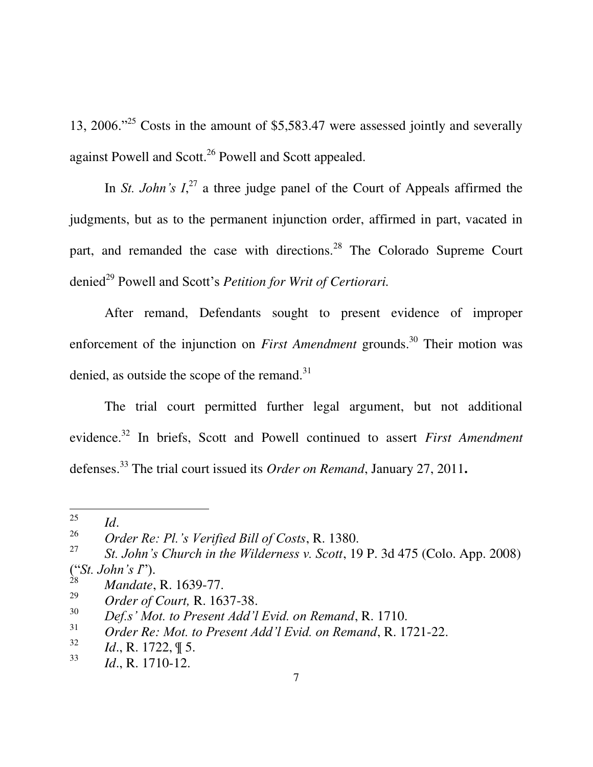13, 2006.<sup>225</sup> Costs in the amount of \$5,583.47 were assessed jointly and severally against Powell and Scott.<sup>26</sup> Powell and Scott appealed.

In *St. John's*  $I^{27}$ , a three judge panel of the Court of Appeals affirmed the judgments, but as to the permanent injunction order, affirmed in part, vacated in part, and remanded the case with directions.<sup>28</sup> The Colorado Supreme Court denied<sup>29</sup> Powell and Scott's *Petition for Writ of Certiorari*.

After remand, Defendants sought to present evidence of improper enforcement of the injunction on *First Amendment* grounds.<sup>30</sup> Their motion was denied, as outside the scope of the remand. $31$ 

The trial court permitted further legal argument, but not additional evidence.<sup>32</sup> In briefs, Scott and Powell continued to assert *First Amendment* defenses.<sup>33</sup> The trial court issued its *Order on Remand*, January 27, 2011**.** 

<sup>25</sup> *Id*.

<sup>26</sup> *Order Re: Pl.'s Verified Bill of Costs*, R. 1380.

<span id="page-14-0"></span><sup>27</sup> *St. John's Church in the Wilderness v. Scott*, 19 P. 3d 475 (Colo. App. 2008) ("*St. John's I*").

<sup>28</sup> *Mandate*, R. 1639-77.

<sup>29</sup> *Order of Court,* R. 1637-38.

<sup>30</sup> *Def.s' Mot. to Present Add'l Evid. on Remand*, R. 1710.

<sup>31</sup> *Order Re: Mot. to Present Add'l Evid. on Remand*, R. 1721-22.

<sup>32</sup> *Id*., R. 1722, ¶ 5.

<sup>33</sup> *Id*., R. 1710-12.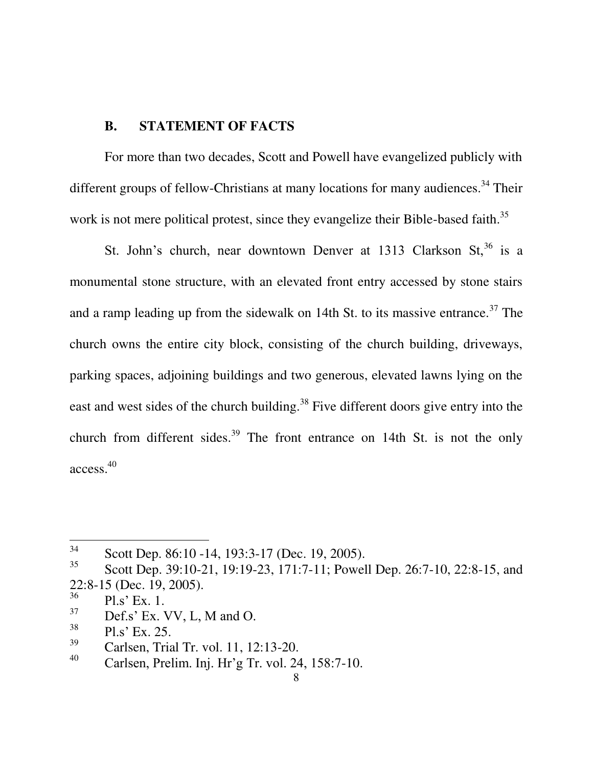## **B. STATEMENT OF FACTS**

For more than two decades, Scott and Powell have evangelized publicly with different groups of fellow-Christians at many locations for many audiences.<sup>34</sup> Their work is not mere political protest, since they evangelize their Bible-based faith.<sup>35</sup>

St. John's church, near downtown Denver at 1313 Clarkson St,<sup>36</sup> is a monumental stone structure, with an elevated front entry accessed by stone stairs and a ramp leading up from the sidewalk on 14th St. to its massive entrance.<sup>37</sup> The church owns the entire city block, consisting of the church building, driveways, parking spaces, adjoining buildings and two generous, elevated lawns lying on the east and west sides of the church building.<sup>38</sup> Five different doors give entry into the church from different sides.<sup>39</sup> The front entrance on 14th St. is not the only access. 40

37 Def.s' Ex. VV, L, M and O.

<sup>34</sup> Scott Dep. 86:10 -14, 193:3-17 (Dec. 19, 2005).

<sup>35</sup> Scott Dep. 39:10-21, 19:19-23, 171:7-11; Powell Dep. 26:7-10, 22:8-15, and 22:8-15 (Dec. 19, 2005).

<sup>36</sup> Pl.s" Ex. 1.

<sup>38</sup> Pl.s" Ex. 25.

<sup>39</sup> Carlsen, Trial Tr. vol. 11, 12:13-20.

<sup>40</sup> Carlsen, Prelim. Inj. Hr"g Tr. vol. 24, 158:7-10.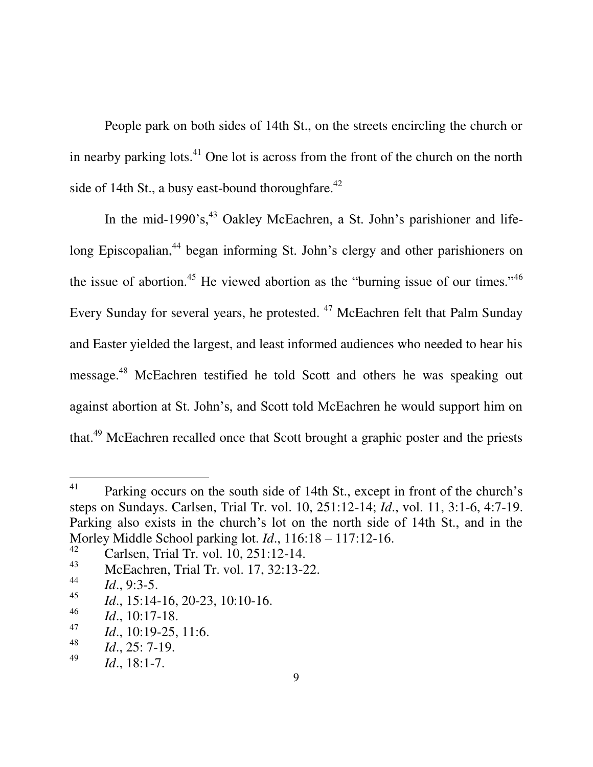People park on both sides of 14th St., on the streets encircling the church or in nearby parking lots. $41$  One lot is across from the front of the church on the north side of 14th St., a busy east-bound thoroughfare. $42$ 

In the mid-1990's,  $43$  Oakley McEachren, a St. John's parishioner and lifelong Episcopalian,<sup>44</sup> began informing St. John's clergy and other parishioners on the issue of abortion.<sup>45</sup> He viewed abortion as the "burning issue of our times."<sup>46</sup> Every Sunday for several years, he protested. <sup>47</sup> McEachren felt that Palm Sunday and Easter yielded the largest, and least informed audiences who needed to hear his message.<sup>48</sup> McEachren testified he told Scott and others he was speaking out against abortion at St. John"s, and Scott told McEachren he would support him on that.<sup>49</sup> McEachren recalled once that Scott brought a graphic poster and the priests

<sup>41</sup> Parking occurs on the south side of 14th St., except in front of the church's steps on Sundays. Carlsen, Trial Tr. vol. 10, 251:12-14; *Id*., vol. 11, 3:1-6, 4:7-19. Parking also exists in the church"s lot on the north side of 14th St., and in the Morley Middle School parking lot. *Id*., 116:18 – 117:12-16.

<sup>42</sup> Carlsen, Trial Tr. vol. 10, 251:12-14.

<sup>43</sup> McEachren, Trial Tr. vol. 17, 32:13-22.

<sup>44</sup> *Id*., 9:3-5.

<sup>45</sup> *Id.*, 15:14-16, 20-23, 10:10-16.

<sup>46</sup> *Id*., 10:17-18.

<sup>47</sup> *Id*., 10:19-25, 11:6.

<sup>48</sup> *Id*., 25: 7-19.

<sup>49</sup> *Id*., 18:1-7.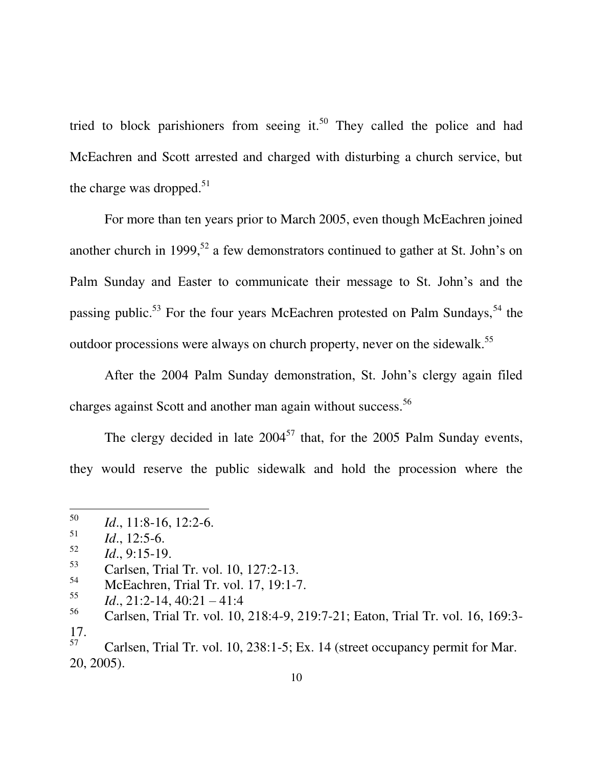tried to block parishioners from seeing it.<sup>50</sup> They called the police and had McEachren and Scott arrested and charged with disturbing a church service, but the charge was dropped. $51$ 

For more than ten years prior to March 2005, even though McEachren joined another church in 1999,<sup>52</sup> a few demonstrators continued to gather at St. John's on Palm Sunday and Easter to communicate their message to St. John"s and the passing public.<sup>53</sup> For the four years McEachren protested on Palm Sundays,  $54$  the outdoor processions were always on church property, never on the sidewalk.<sup>55</sup>

After the 2004 Palm Sunday demonstration, St. John"s clergy again filed charges against Scott and another man again without success.<sup>56</sup>

The clergy decided in late  $2004^{57}$  that, for the 2005 Palm Sunday events, they would reserve the public sidewalk and hold the procession where the

- 53 Carlsen, Trial Tr. vol. 10, 127:2-13.
- 54 McEachren, Trial Tr. vol. 17, 19:1-7.
- 55 *Id.*, 21:2-14, 40:21 – 41:4

<sup>50</sup> *Id*., 11:8-16, 12:2-6.

<sup>51</sup> *Id*., 12:5-6.

<sup>52</sup> *Id*., 9:15-19.

<sup>56</sup> Carlsen, Trial Tr. vol. 10, 218:4-9, 219:7-21; Eaton, Trial Tr. vol. 16, 169:3- 17.

<sup>57</sup> Carlsen, Trial Tr. vol. 10, 238:1-5; Ex. 14 (street occupancy permit for Mar. 20, 2005).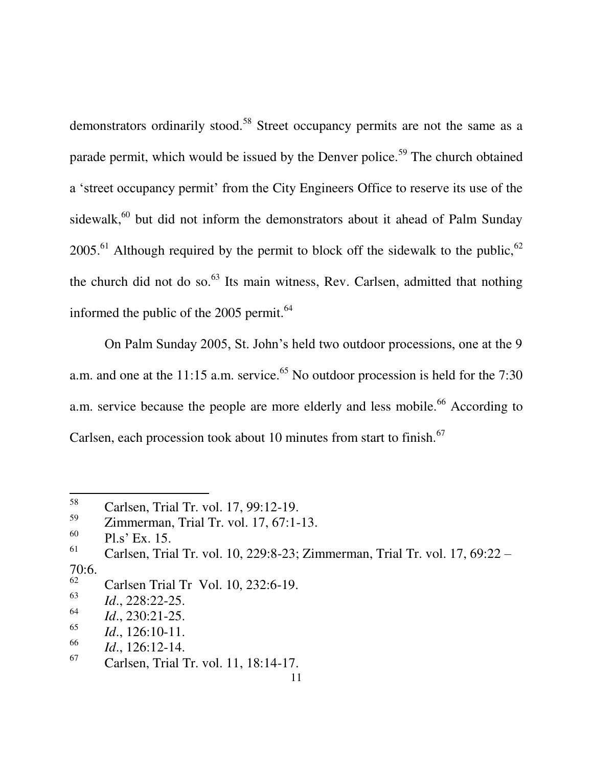demonstrators ordinarily stood.<sup>58</sup> Street occupancy permits are not the same as a parade permit, which would be issued by the Denver police.<sup>59</sup> The church obtained a 'street occupancy permit' from the City Engineers Office to reserve its use of the sidewalk, $60$  but did not inform the demonstrators about it ahead of Palm Sunday  $2005<sup>61</sup>$  Although required by the permit to block off the sidewalk to the public, <sup>62</sup> the church did not do so. $63$  Its main witness, Rev. Carlsen, admitted that nothing informed the public of the  $2005$  permit.<sup>64</sup>

On Palm Sunday 2005, St. John"s held two outdoor processions, one at the 9 a.m. and one at the 11:15 a.m. service.<sup>65</sup> No outdoor procession is held for the 7:30 a.m. service because the people are more elderly and less mobile.<sup>66</sup> According to Carlsen, each procession took about 10 minutes from start to finish. $67$ 

<sup>58</sup> Carlsen, Trial Tr. vol. 17, 99:12-19.

<sup>59</sup> Zimmerman, Trial Tr. vol. 17, 67:1-13.

<sup>60</sup>  $\frac{60}{61}$  Pl.s' Ex. 15.

<sup>61</sup> Carlsen, Trial Tr. vol. 10, 229:8-23; Zimmerman, Trial Tr. vol. 17, 69:22 –  $70:6.$ 

<sup>62</sup> Carlsen Trial Tr Vol. 10, 232:6-19.

<sup>63</sup> *Id*., 228:22-25.

<sup>64</sup> *Id*., 230:21-25.

<sup>65</sup> *Id*., 126:10-11.

<sup>66</sup>  $\frac{66}{67}$  *Id.*, 126:12-14.

<sup>67</sup> Carlsen, Trial Tr. vol. 11, 18:14-17.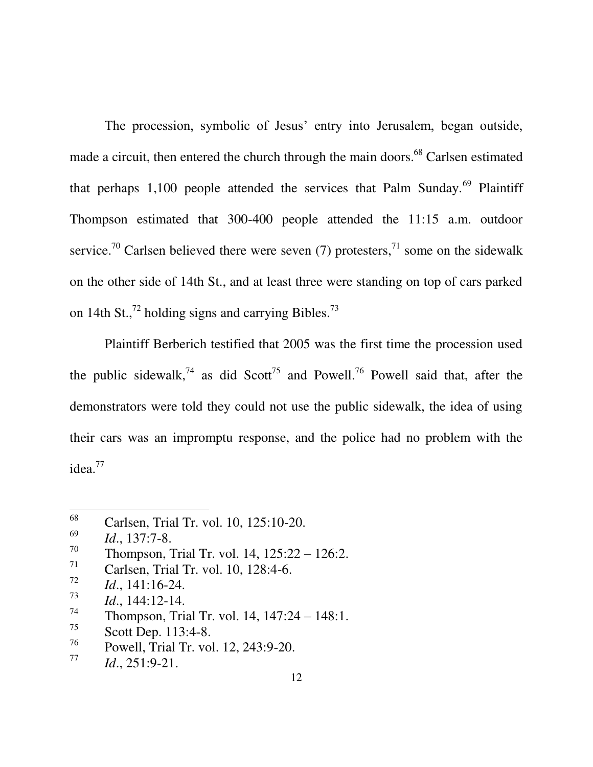The procession, symbolic of Jesus' entry into Jerusalem, began outside, made a circuit, then entered the church through the main doors.<sup>68</sup> Carlsen estimated that perhaps 1,100 people attended the services that Palm Sunday.<sup>69</sup> Plaintiff Thompson estimated that 300-400 people attended the 11:15 a.m. outdoor service.<sup>70</sup> Carlsen believed there were seven (7) protesters,<sup>71</sup> some on the sidewalk on the other side of 14th St., and at least three were standing on top of cars parked on 14th St., $^{72}$  holding signs and carrying Bibles. $^{73}$ 

Plaintiff Berberich testified that 2005 was the first time the procession used the public sidewalk,<sup>74</sup> as did Scott<sup>75</sup> and Powell.<sup>76</sup> Powell said that, after the demonstrators were told they could not use the public sidewalk, the idea of using their cars was an impromptu response, and the police had no problem with the idea.<sup>77</sup>

 $\overline{a}$ 

75 Scott Dep. 113:4-8.

<sup>68</sup> Carlsen, Trial Tr. vol. 10, 125:10-20.

<sup>69</sup> *Id*., 137:7-8.

<sup>70</sup> Thompson, Trial Tr. vol. 14, 125:22 – 126:2.

<sup>71</sup> Carlsen, Trial Tr. vol. 10, 128:4-6.

<sup>72</sup> *Id*., 141:16-24.

<sup>73</sup> *Id*., 144:12-14.

<sup>74</sup> Thompson, Trial Tr. vol. 14, 147:24 – 148:1.

<sup>76</sup> Powell, Trial Tr. vol. 12, 243:9-20.

<sup>77</sup> *Id*., 251:9-21.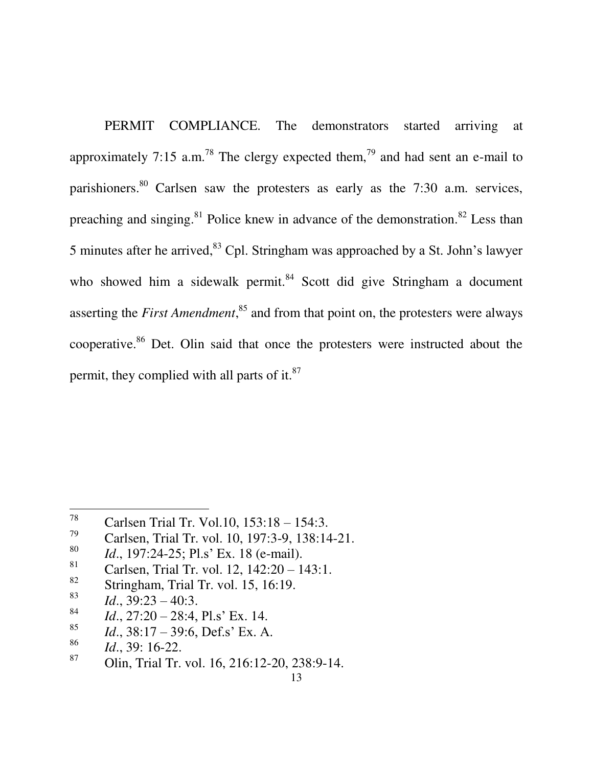PERMIT COMPLIANCE. The demonstrators started arriving at approximately 7:15 a.m.<sup>78</sup> The clergy expected them,<sup>79</sup> and had sent an e-mail to parishioners.<sup>80</sup> Carlsen saw the protesters as early as the 7:30 a.m. services, preaching and singing.<sup>81</sup> Police knew in advance of the demonstration.<sup>82</sup> Less than 5 minutes after he arrived,  $83$  Cpl. Stringham was approached by a St. John's lawyer who showed him a sidewalk permit.<sup>84</sup> Scott did give Stringham a document asserting the *First Amendment*, <sup>85</sup> and from that point on, the protesters were always cooperative.<sup>86</sup> Det. Olin said that once the protesters were instructed about the permit, they complied with all parts of it. $87$ 

Stringham, Trial Tr. vol. 15, 16:19.

 $\overline{a}$ 

- 84 *Id.*, 27:20 – 28:4, Pl.s' Ex. 14.
- 85 *Id.*, 38:17 – 39:6, Def.s' Ex. A.

<sup>87</sup> Olin, Trial Tr. vol. 16, 216:12-20, 238:9-14.

<sup>78</sup> <sup>18</sup> Carlsen Trial Tr. Vol.10, 153:18 – 154:3.<br><sup>79</sup> Carlson Trial Tr. vol. 10, 107:2, 0, 129:14

Carlsen, Trial Tr. vol. 10, 197:3-9, 138:14-21.

<sup>80</sup> <sup>80</sup> *Id.*, 197:24-25; Pl.s' Ex. 18 (e-mail).<br><sup>81</sup> Corlson Trial Tr. vol. 12, 142:20, 1

<sup>&</sup>lt;sup>81</sup> Carlsen, Trial Tr. vol. 12, 142:20 – 143:1.<br><sup>82</sup> Stringham Trial Tr. vol. 15, 16:10

<sup>83</sup> *Id.*, 39:23 – 40:3.

<sup>86</sup>  $\frac{86}{87}$  *Id.*, 39: 16-22.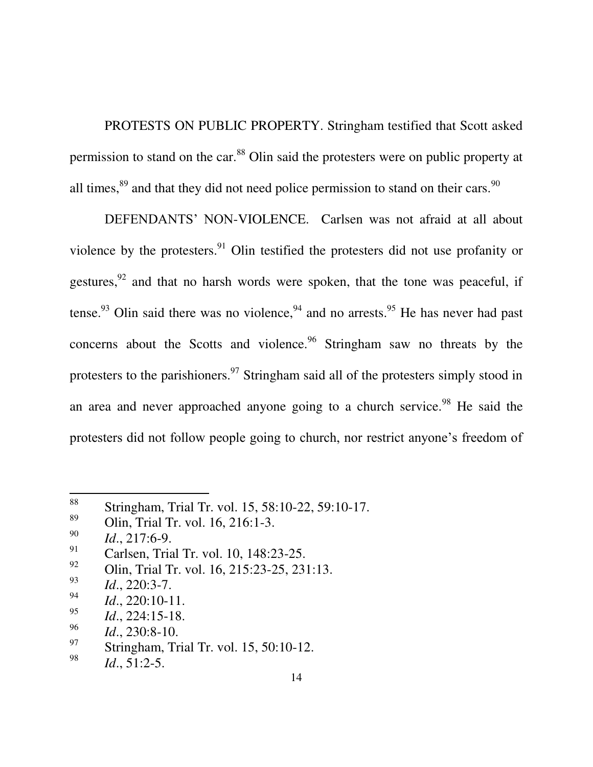PROTESTS ON PUBLIC PROPERTY. Stringham testified that Scott asked permission to stand on the car.<sup>88</sup> Olin said the protesters were on public property at all times, $89$  and that they did not need police permission to stand on their cars.  $90$ 

DEFENDANTS" NON-VIOLENCE. Carlsen was not afraid at all about violence by the protesters.<sup>91</sup> Olin testified the protesters did not use profanity or gestures, $92$  and that no harsh words were spoken, that the tone was peaceful, if tense.<sup>93</sup> Olin said there was no violence,<sup>94</sup> and no arrests.<sup>95</sup> He has never had past concerns about the Scotts and violence. $96$  Stringham saw no threats by the protesters to the parishioners.<sup>97</sup> Stringham said all of the protesters simply stood in an area and never approached anyone going to a church service.<sup>98</sup> He said the protesters did not follow people going to church, nor restrict anyone"s freedom of

<sup>88</sup> <sup>88</sup> Stringham, Trial Tr. vol. 15, 58:10-22, 59:10-17.

<sup>89</sup> Olin, Trial Tr. vol. 16, 216:1-3.

<sup>90</sup> *Id*., 217:6-9.

<sup>91</sup> Carlsen, Trial Tr. vol. 10, 148:23-25.

<sup>92</sup> Olin, Trial Tr. vol. 16, 215:23-25, 231:13.

<sup>93</sup> *Id*., 220:3-7.

<sup>94</sup> *Id*., 220:10-11.

<sup>95</sup> *Id*., 224:15-18.

<sup>96</sup> *Id*., 230:8-10.

<sup>97</sup> Stringham, Trial Tr. vol. 15, 50:10-12.

<sup>98</sup> *Id*., 51:2-5.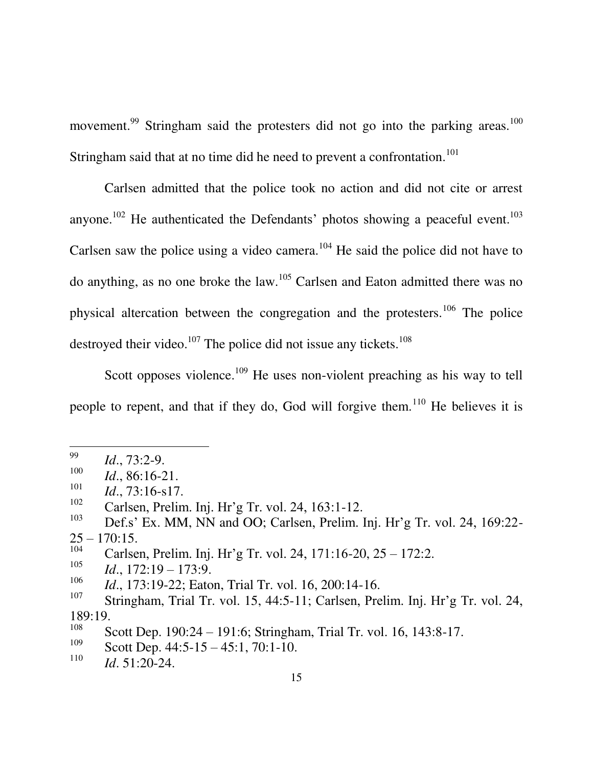movement.<sup>99</sup> Stringham said the protesters did not go into the parking areas.<sup>100</sup> Stringham said that at no time did he need to prevent a confrontation.<sup>101</sup>

Carlsen admitted that the police took no action and did not cite or arrest anyone.<sup>102</sup> He authenticated the Defendants' photos showing a peaceful event.<sup>103</sup> Carlsen saw the police using a video camera.<sup>104</sup> He said the police did not have to do anything, as no one broke the law.<sup>105</sup> Carlsen and Eaton admitted there was no physical altercation between the congregation and the protesters.<sup>106</sup> The police destroyed their video.<sup>107</sup> The police did not issue any tickets.<sup>108</sup>

Scott opposes violence.<sup>109</sup> He uses non-violent preaching as his way to tell people to repent, and that if they do, God will forgive them.<sup>110</sup> He believes it is

<sup>99</sup> *Id*., 73:2-9.

<sup>100</sup> *Id*., 86:16-21. 101

*Id*., 73:16-s17.

<sup>102</sup> Carlsen, Prelim. Inj. Hr"g Tr. vol. 24, 163:1-12.

<sup>103</sup> Def.s' Ex. MM, NN and OO; Carlsen, Prelim. Inj. Hr'g Tr. vol. 24, 169:22- $25 - 170:15$ .

<sup>104</sup> Carlsen, Prelim. Inj. Hr"g Tr. vol. 24, 171:16-20, 25 – 172:2.

<sup>105</sup> *Id*., 172:19 – 173:9.

<sup>106</sup> *Id*., 173:19-22; Eaton, Trial Tr. vol. 16, 200:14-16.

<sup>107</sup> Stringham, Trial Tr. vol. 15, 44:5-11; Carlsen, Prelim. Inj. Hr'g Tr. vol. 24, 189:19.

<sup>108</sup> Scott Dep. 190:24 – 191:6; Stringham, Trial Tr. vol. 16, 143:8-17.

<sup>109</sup> Scott Dep. 44:5-15 – 45:1, 70:1-10.

<sup>110</sup> *Id*. 51:20-24.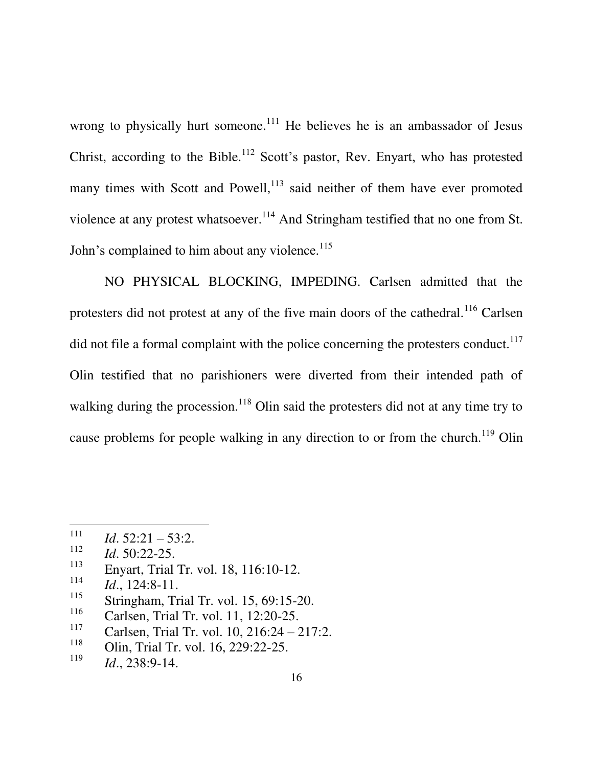wrong to physically hurt someone.<sup>111</sup> He believes he is an ambassador of Jesus Christ, according to the Bible.<sup>112</sup> Scott's pastor, Rev. Enyart, who has protested many times with Scott and Powell,<sup>113</sup> said neither of them have ever promoted violence at any protest whatsoever.<sup>114</sup> And Stringham testified that no one from St. John's complained to him about any violence.<sup>115</sup>

NO PHYSICAL BLOCKING, IMPEDING. Carlsen admitted that the protesters did not protest at any of the five main doors of the cathedral.<sup>116</sup> Carlsen did not file a formal complaint with the police concerning the protesters conduct.<sup>117</sup> Olin testified that no parishioners were diverted from their intended path of walking during the procession.<sup>118</sup> Olin said the protesters did not at any time try to cause problems for people walking in any direction to or from the church.<sup>119</sup> Olin

 $\overline{a}$ 

113 Enyart, Trial Tr. vol. 18, 116:10-12.

<sup>111</sup> *Id*. 52:21 – 53:2.

<sup>112</sup> *Id*. 50:22-25.

<sup>114</sup> *Id*., 124:8-11.

<sup>115</sup> Stringham, Trial Tr. vol. 15, 69:15-20.

<sup>116</sup> Carlsen, Trial Tr. vol. 11, 12:20-25.

<sup>117</sup> Carlsen, Trial Tr. vol. 10, 216:24 – 217:2.

<sup>118</sup> Olin, Trial Tr. vol. 16, 229:22-25.

<sup>119</sup> *Id*., 238:9-14.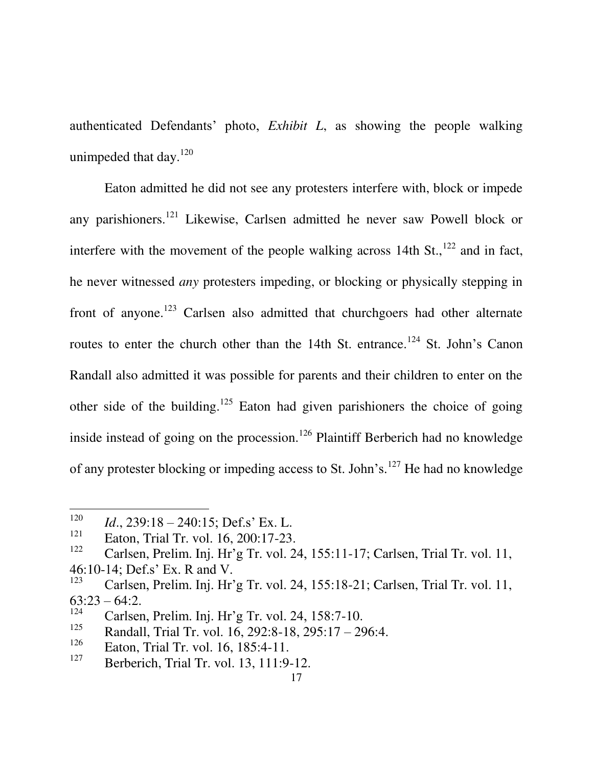authenticated Defendants" photo, *Exhibit L*, as showing the people walking unimpeded that day. $^{120}$ 

Eaton admitted he did not see any protesters interfere with, block or impede any parishioners.<sup>121</sup> Likewise, Carlsen admitted he never saw Powell block or interfere with the movement of the people walking across 14th  $St.,<sup>122</sup>$  and in fact, he never witnessed *any* protesters impeding, or blocking or physically stepping in front of anyone.<sup>123</sup> Carlsen also admitted that churchgoers had other alternate routes to enter the church other than the 14th St. entrance.<sup>124</sup> St. John's Canon Randall also admitted it was possible for parents and their children to enter on the other side of the building.<sup>125</sup> Eaton had given parishioners the choice of going inside instead of going on the procession.<sup>126</sup> Plaintiff Berberich had no knowledge of any protester blocking or impeding access to St. John's.<sup>127</sup> He had no knowledge

<sup>120</sup> <sup>120</sup> *Id.*, 239:18 – 240:15; Def.s' Ex. L.<br><sup>121</sup> Esten Triel Tr. vol. 16, 200:17.23

 $\frac{121}{122}$  Eaton, Trial Tr. vol. 16, 200:17-23.

Carlsen, Prelim. Inj. Hr'g Tr. vol. 24, 155:11-17; Carlsen, Trial Tr. vol. 11, 46:10-14; Def.s" Ex. R and V.

<sup>123</sup> Carlsen, Prelim. Inj. Hr"g Tr. vol. 24, 155:18-21; Carlsen, Trial Tr. vol. 11,  $63:23 - 64:2$ .

<sup>124</sup> <sup>124</sup> Carlsen, Prelim. Inj. Hr'g Tr. vol. 24, 158:7-10.<br><sup>125</sup> Pendell Triel Tr. vol. 16, 202:8, 18, 205:17, 20

<sup>&</sup>lt;sup>125</sup> Randall, Trial Tr. vol. 16, 292:8-18, 295:17 – 296:4.<br><sup>126</sup> Esten Trial Tr. vol. 16, 185:4, 11

Eaton, Trial Tr. vol. 16, 185:4-11.

<sup>127</sup> Berberich, Trial Tr. vol. 13, 111:9-12.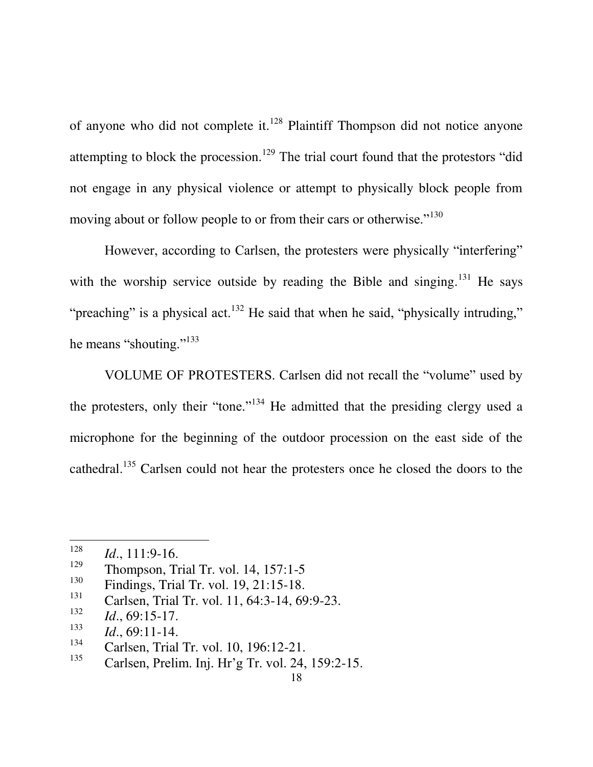of anyone who did not complete it.<sup>128</sup> Plaintiff Thompson did not notice anyone attempting to block the procession.<sup>129</sup> The trial court found that the protestors "did not engage in any physical violence or attempt to physically block people from moving about or follow people to or from their cars or otherwise."<sup>130</sup>

However, according to Carlsen, the protesters were physically "interfering" with the worship service outside by reading the Bible and singing. $131$  He says "preaching" is a physical act.<sup>132</sup> He said that when he said, "physically intruding," he means "shouting."<sup>133</sup>

VOLUME OF PROTESTERS. Carlsen did not recall the "volume" used by the protesters, only their "tone."<sup>134</sup> He admitted that the presiding clergy used a microphone for the beginning of the outdoor procession on the east side of the cathedral.<sup>135</sup> Carlsen could not hear the protesters once he closed the doors to the

<sup>128</sup>  $Id., 111:9-16.$ 

Thompson, Trial Tr. vol. 14, 157:1-5

<sup>130</sup> Findings, Trial Tr. vol. 19, 21:15-18.

<sup>131</sup> Carlsen, Trial Tr. vol. 11, 64:3-14, 69:9-23.

<sup>132</sup> *Id*., 69:15-17.

<sup>133</sup> *Id*., 69:11-14.

<sup>134</sup> Carlsen, Trial Tr. vol. 10, 196:12-21.

<sup>135</sup> Carlsen, Prelim. Inj. Hr"g Tr. vol. 24, 159:2-15.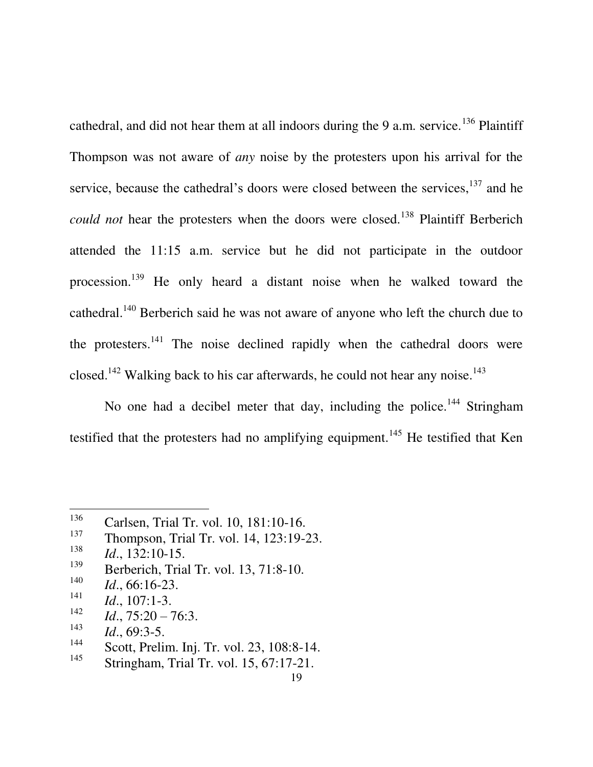cathedral, and did not hear them at all indoors during the 9 a.m. service.<sup>136</sup> Plaintiff Thompson was not aware of *any* noise by the protesters upon his arrival for the service, because the cathedral's doors were closed between the services,  $137$  and he *could not* hear the protesters when the doors were closed.<sup>138</sup> Plaintiff Berberich attended the 11:15 a.m. service but he did not participate in the outdoor procession.<sup>139</sup> He only heard a distant noise when he walked toward the cathedral.<sup>140</sup> Berberich said he was not aware of anyone who left the church due to the protesters.<sup>141</sup> The noise declined rapidly when the cathedral doors were closed.<sup>142</sup> Walking back to his car afterwards, he could not hear any noise.<sup>143</sup>

No one had a decibel meter that day, including the police.<sup>144</sup> Stringham testified that the protesters had no amplifying equipment.<sup>145</sup> He testified that Ken

 $\overline{a}$ 

140 *Id*., 66:16-23.

142 *Id*., 75:20 – 76:3.

<sup>136</sup> <sup>136</sup> Carlsen, Trial Tr. vol. 10, 181:10-16.<br><sup>137</sup> Thompson Trial Tr. vol. 14, 122:10.

Thompson, Trial Tr. vol. 14, 123:19-23.

<sup>138</sup>  $Id., 132:10-15.$ <br><sup>139</sup> Perhaviah Trie

Berberich, Trial Tr. vol. 13, 71:8-10.

<sup>141</sup> *Id*., 107:1-3.

<sup>143</sup> *Id*., 69:3-5.

<sup>144</sup>  $\frac{144}{145}$  Scott, Prelim. Inj. Tr. vol. 23, 108:8-14.

Stringham, Trial Tr. vol. 15, 67:17-21.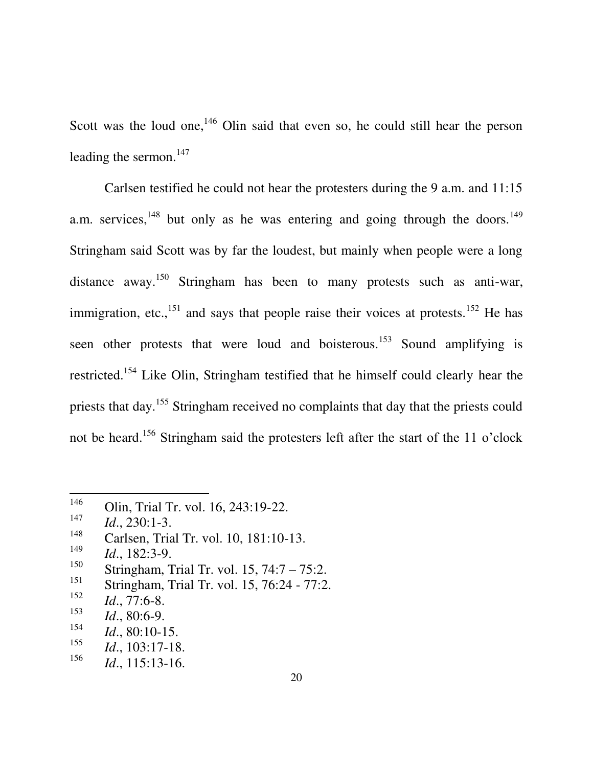Scott was the loud one, $146$  Olin said that even so, he could still hear the person leading the sermon.<sup>147</sup>

Carlsen testified he could not hear the protesters during the 9 a.m. and 11:15 a.m. services,  $148$  but only as he was entering and going through the doors.  $149$ Stringham said Scott was by far the loudest, but mainly when people were a long distance away.<sup>150</sup> Stringham has been to many protests such as anti-war, immigration, etc.,<sup>151</sup> and says that people raise their voices at protests.<sup>152</sup> He has seen other protests that were loud and boisterous.<sup>153</sup> Sound amplifying is restricted.<sup>154</sup> Like Olin, Stringham testified that he himself could clearly hear the priests that day.<sup>155</sup> Stringham received no complaints that day that the priests could not be heard.<sup>156</sup> Stringham said the protesters left after the start of the 11 o'clock

<sup>146</sup> Olin, Trial Tr. vol. 16, 243:19-22.

<sup>147</sup>  $Id., 230:1-3.$ 

Carlsen, Trial Tr. vol. 10, 181:10-13.

<sup>149</sup>  $I_{150}$  *Id.*, 182:3-9.

<sup>&</sup>lt;sup>150</sup> Stringham, Trial Tr. vol. 15, 74:7 – 75:2.<br><sup>151</sup> Stringham Trial Tr. vol. 15, 76:24, 77:2

Stringham, Trial Tr. vol. 15, 76:24 - 77:2.

<sup>152</sup> *Id*., 77:6-8.

<sup>153</sup> *Id*., 80:6-9.

<sup>154</sup> *Id*., 80:10-15.

<sup>155</sup> *Id*., 103:17-18.

<sup>156</sup> *Id*., 115:13-16.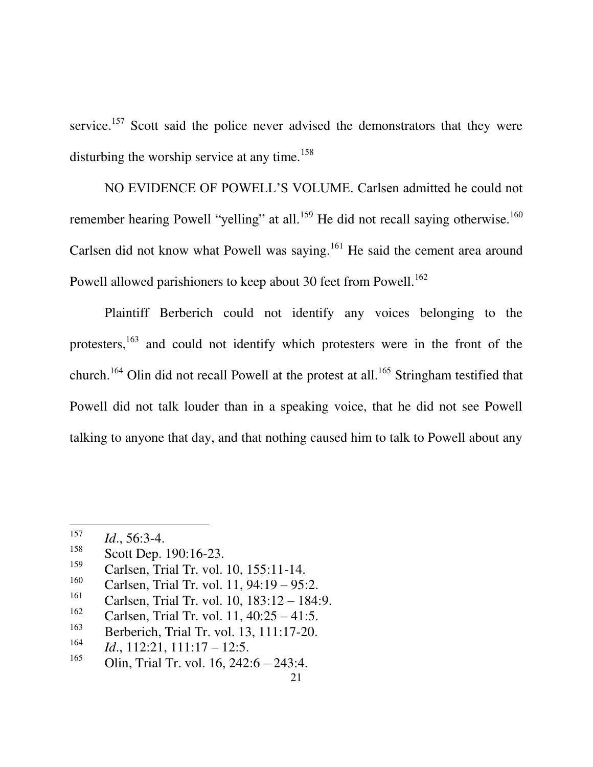service.<sup>157</sup> Scott said the police never advised the demonstrators that they were disturbing the worship service at any time.<sup>158</sup>

NO EVIDENCE OF POWELL"S VOLUME. Carlsen admitted he could not remember hearing Powell "yelling" at all.<sup>159</sup> He did not recall saying otherwise.<sup>160</sup> Carlsen did not know what Powell was saying.<sup>161</sup> He said the cement area around Powell allowed parishioners to keep about 30 feet from Powell.<sup>162</sup>

Plaintiff Berberich could not identify any voices belonging to the protesters,<sup>163</sup> and could not identify which protesters were in the front of the church.<sup>164</sup> Olin did not recall Powell at the protest at all.<sup>165</sup> Stringham testified that Powell did not talk louder than in a speaking voice, that he did not see Powell talking to anyone that day, and that nothing caused him to talk to Powell about any

<sup>157</sup>  $I_{158}$  *Id.*, 56:3-4.

Scott Dep. 190:16-23.

<sup>159</sup> Carlsen, Trial Tr. vol. 10, 155:11-14.

<sup>160</sup> Carlsen, Trial Tr. vol. 11, 94:19 – 95:2.

<sup>161</sup> Carlsen, Trial Tr. vol. 10, 183:12 – 184:9.

<sup>162</sup> Carlsen, Trial Tr. vol. 11, 40:25 – 41:5.

<sup>163</sup> Berberich, Trial Tr. vol. 13, 111:17-20.

<sup>164</sup> *Id*., 112:21, 111:17 – 12:5.

<sup>165</sup> Olin, Trial Tr. vol. 16, 242:6 – 243:4.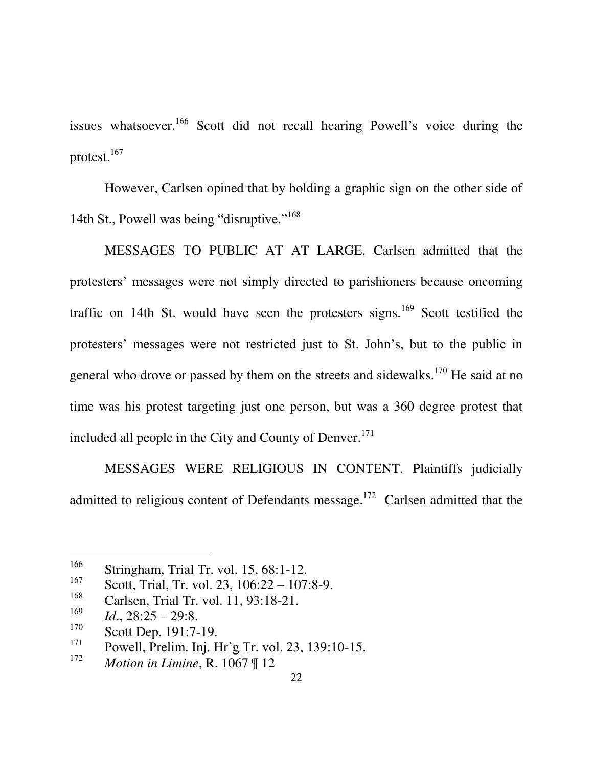issues whatsoever.<sup>166</sup> Scott did not recall hearing Powell's voice during the protest.<sup>167</sup>

However, Carlsen opined that by holding a graphic sign on the other side of 14th St., Powell was being "disruptive."<sup>168</sup>

MESSAGES TO PUBLIC AT AT LARGE. Carlsen admitted that the protesters" messages were not simply directed to parishioners because oncoming traffic on 14th St. would have seen the protesters signs.<sup>169</sup> Scott testified the protesters" messages were not restricted just to St. John"s, but to the public in general who drove or passed by them on the streets and sidewalks.<sup>170</sup> He said at no time was his protest targeting just one person, but was a 360 degree protest that included all people in the City and County of Denver.<sup>171</sup>

MESSAGES WERE RELIGIOUS IN CONTENT. Plaintiffs judicially admitted to religious content of Defendants message.<sup>172</sup> Carlsen admitted that the

<sup>166</sup> Stringham, Trial Tr. vol. 15, 68:1-12.

<sup>167</sup> Scott, Trial, Tr. vol. 23, 106:22 – 107:8-9.

<sup>168</sup> Carlsen, Trial Tr. vol. 11, 93:18-21.

<sup>169</sup>  $I_{170}^{109}$  *Id.*, 28:25 – 29:8.

Scott Dep. 191:7-19.

<sup>171</sup> Powell, Prelim. Inj. Hr"g Tr. vol. 23, 139:10-15.

<sup>172</sup> *Motion in Limine*, R. 1067 ¶ 12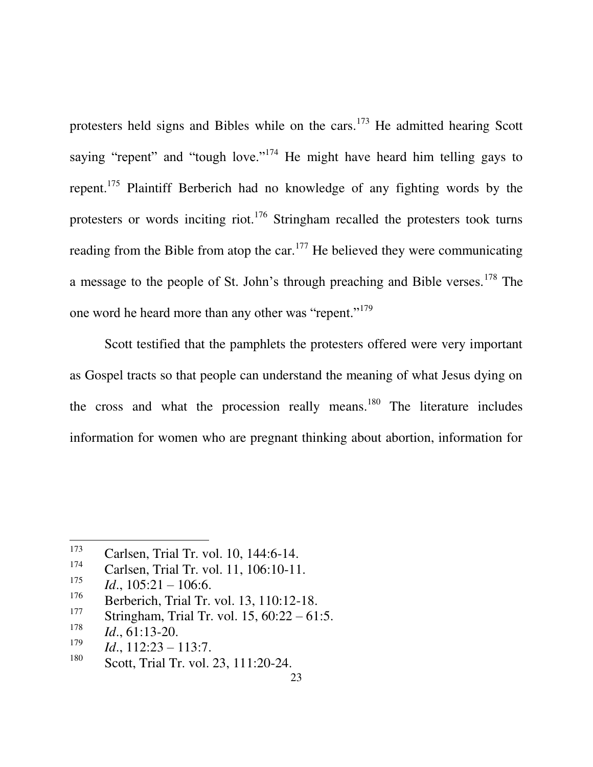protesters held signs and Bibles while on the cars.<sup>173</sup> He admitted hearing Scott saying "repent" and "tough love."<sup> $174$ </sup> He might have heard him telling gays to repent.<sup>175</sup> Plaintiff Berberich had no knowledge of any fighting words by the protesters or words inciting riot.<sup>176</sup> Stringham recalled the protesters took turns reading from the Bible from atop the car.<sup>177</sup> He believed they were communicating a message to the people of St. John's through preaching and Bible verses.<sup>178</sup> The one word he heard more than any other was "repent."<sup>179</sup>

Scott testified that the pamphlets the protesters offered were very important as Gospel tracts so that people can understand the meaning of what Jesus dying on the cross and what the procession really means.<sup>180</sup> The literature includes information for women who are pregnant thinking about abortion, information for

<sup>&</sup>lt;sup>173</sup> Carlsen, Trial Tr. vol. 10, 144:6-14.

Carlsen, Trial Tr. vol. 11, 106:10-11.

<sup>175</sup> *Id*., 105:21 – 106:6.

<sup>176</sup> Berberich, Trial Tr. vol. 13, 110:12-18.<br><sup>177</sup> Stripsham Trial Tr. vol. 15, 60:22, 61

Stringham, Trial Tr. vol.  $15, 60:22 - 61:5$ .

<sup>178</sup> *Id*., 61:13-20.

<sup>179</sup> *Id*., 112:23 – 113:7.

<sup>180</sup> Scott, Trial Tr. vol. 23, 111:20-24.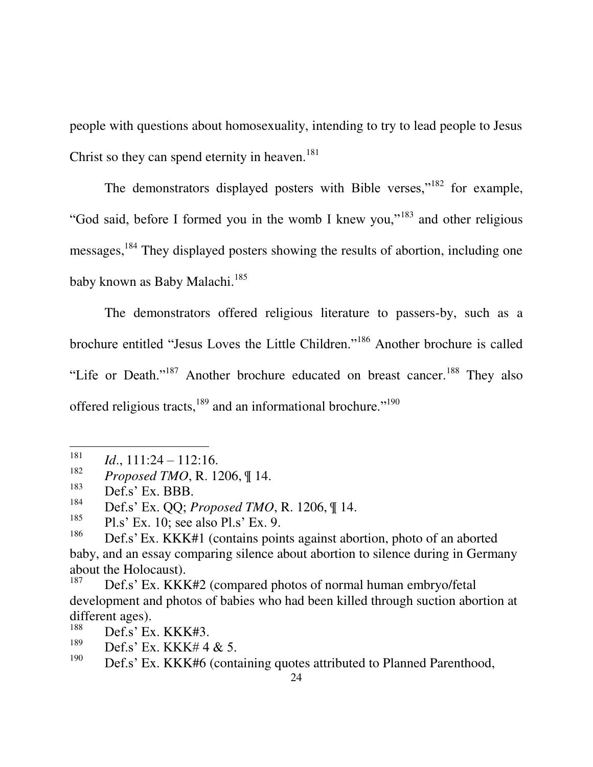people with questions about homosexuality, intending to try to lead people to Jesus Christ so they can spend eternity in heaven.<sup>181</sup>

The demonstrators displayed posters with Bible verses,"<sup>182</sup> for example, "God said, before I formed you in the womb I knew you,"<sup>183</sup> and other religious messages,<sup>184</sup> They displayed posters showing the results of abortion, including one baby known as Baby Malachi.<sup>185</sup>

The demonstrators offered religious literature to passers-by, such as a brochure entitled "Jesus Loves the Little Children."<sup>186</sup> Another brochure is called "Life or Death."<sup>187</sup> Another brochure educated on breast cancer.<sup>188</sup> They also offered religious tracts,<sup>189</sup> and an informational brochure."<sup>190</sup>

<sup>181</sup> *Id*., 111:24 – 112:16.

<sup>182</sup> *Proposed TMO*, R. 1206, ¶ 14.

<sup>183</sup> Def.s' Ex. BBB.

<sup>184</sup> Def.s" Ex. QQ; *Proposed TMO*, R. 1206, ¶ 14.

<sup>185</sup> Pl.s" Ex. 10; see also Pl.s" Ex. 9.

<sup>186</sup> Def.s' Ex. KKK#1 (contains points against abortion, photo of an aborted baby, and an essay comparing silence about abortion to silence during in Germany about the Holocaust).

<sup>187</sup> Def.s' Ex. KKK#2 (compared photos of normal human embryo/fetal development and photos of babies who had been killed through suction abortion at different ages).

<sup>188</sup> Def.s' Ex. KKK#3.

<sup>189</sup>  $\frac{189}{190}$  Def.s' Ex. KKK# 4 & 5.

Def.s' Ex. KKK#6 (containing quotes attributed to Planned Parenthood,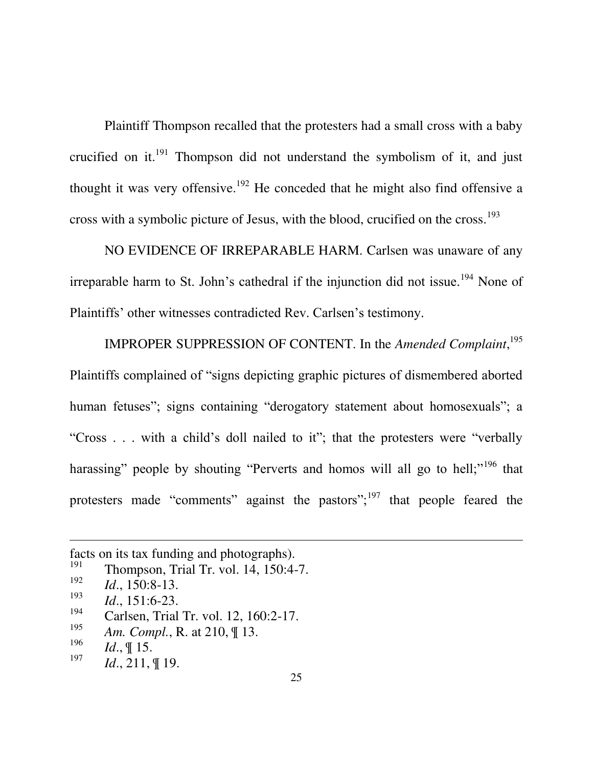Plaintiff Thompson recalled that the protesters had a small cross with a baby crucified on it.<sup>191</sup> Thompson did not understand the symbolism of it, and just thought it was very offensive.<sup>192</sup> He conceded that he might also find offensive a cross with a symbolic picture of Jesus, with the blood, crucified on the cross. 193

NO EVIDENCE OF IRREPARABLE HARM. Carlsen was unaware of any irreparable harm to St. John's cathedral if the injunction did not issue.<sup>194</sup> None of Plaintiffs' other witnesses contradicted Rev. Carlsen's testimony.

IMPROPER SUPPRESSION OF CONTENT. In the *Amended Complaint*, 195 Plaintiffs complained of "signs depicting graphic pictures of dismembered aborted human fetuses"; signs containing "derogatory statement about homosexuals"; a "Cross . . . with a child"s doll nailed to it"; that the protesters were "verbally harassing" people by shouting "Perverts and homos will all go to hell;"<sup>196</sup> that protesters made "comments" against the pastors"; $197$  that people feared the

facts on its tax funding and photographs).<br><sup>191</sup> Thompson, Triel Tr, yol. 14, 150:4.

Thompson, Trial Tr. vol. 14, 150:4-7.

<sup>192</sup> *Id*., 150:8-13.

<sup>193</sup>  $\frac{193}{194}$  *Id.*, 151:6-23.

Carlsen, Trial Tr. vol. 12, 160:2-17.

<sup>195</sup> *Am. Compl.*, R. at 210, ¶ 13.

<sup>196</sup> *Id*., ¶ 15.

<sup>197</sup> *Id*., 211, ¶ 19.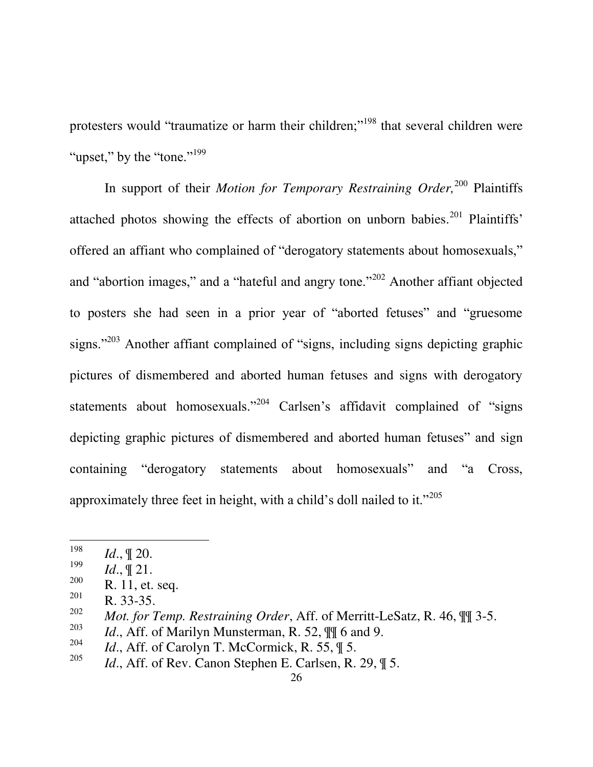protesters would "traumatize or harm their children;"<sup>198</sup> that several children were "upset." by the "tone."<sup>199</sup>

In support of their *Motion for Temporary Restraining Order*,<sup>200</sup> Plaintiffs attached photos showing the effects of abortion on unborn babies.<sup>201</sup> Plaintiffs' offered an affiant who complained of "derogatory statements about homosexuals," and "abortion images," and a "hateful and angry tone."<sup>202</sup> Another affiant objected to posters she had seen in a prior year of "aborted fetuses" and "gruesome signs."<sup>203</sup> Another affiant complained of "signs, including signs depicting graphic pictures of dismembered and aborted human fetuses and signs with derogatory statements about homosexuals."<sup>204</sup> Carlsen's affidavit complained of "signs" depicting graphic pictures of dismembered and aborted human fetuses" and sign containing "derogatory statements about homosexuals" and "a Cross, approximately three feet in height, with a child"s doll nailed to it."<sup>205</sup>

<sup>198</sup> *Id*., ¶ 20.

<sup>199</sup>  $\frac{199}{200}$  *Id.*,  $\left[\!\!\left[ \begin{array}{c} 21. \\ 21. \end{array} \right]\!\!\right]$ 

 $rac{200}{201}$  R. 11, et. seq.

R. 33-35.

<sup>202</sup> *Mot. for Temp. Restraining Order*, Aff. of Merritt-LeSatz, R. 46, ¶¶ 3-5.

<sup>203</sup> *Id.*, Aff. of Marilyn Munsterman, R. 52,  $\mathbb{I}$  6 and 9.

<sup>204</sup> *Id.*, Aff. of Carolyn T. McCormick, R. 55,  $\parallel$  5.

<sup>205</sup> *Id.*, Aff. of Rev. Canon Stephen E. Carlsen, R. 29,  $\parallel$  5.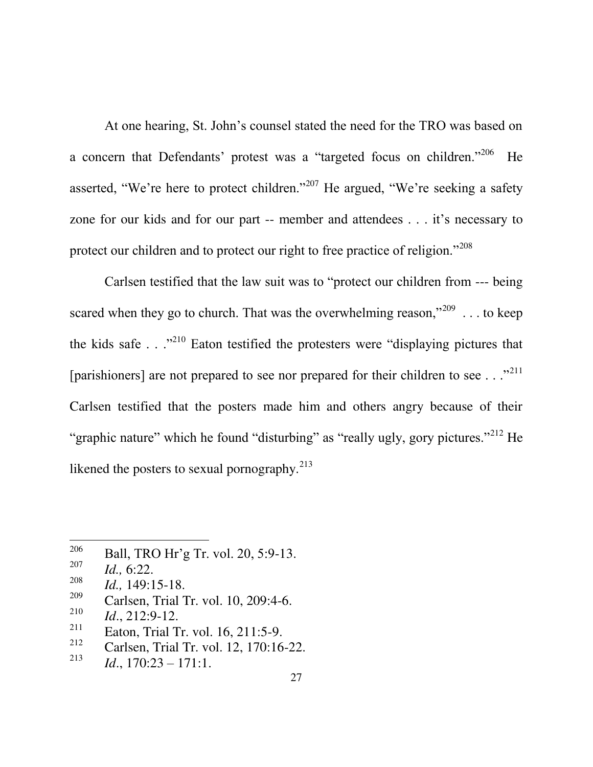At one hearing, St. John"s counsel stated the need for the TRO was based on a concern that Defendants' protest was a "targeted focus on children."<sup>206</sup> He asserted, "We're here to protect children."<sup>207</sup> He argued, "We're seeking a safety zone for our kids and for our part -- member and attendees . . . it"s necessary to protect our children and to protect our right to free practice of religion."<sup>208</sup>

Carlsen testified that the law suit was to "protect our children from --- being scared when they go to church. That was the overwhelming reason,"<sup>209</sup> ... to keep the kids safe  $\ldots$ <sup>210</sup> Eaton testified the protesters were "displaying pictures that" [parishioners] are not prepared to see nor prepared for their children to see  $\ldots$ <sup>211</sup> Carlsen testified that the posters made him and others angry because of their "graphic nature" which he found "disturbing" as "really ugly, gory pictures."<sup>212</sup> He likened the posters to sexual pornography. $2^{13}$ 

<sup>206</sup> Ball, TRO Hr"g Tr. vol. 20, 5:9-13.

<sup>207</sup> *Id.,* 6:22.

<sup>208</sup> *Id.,* 149:15-18.

<sup>209</sup> Carlsen, Trial Tr. vol. 10, 209:4-6.

<sup>210</sup> *Id*., 212:9-12.

<sup>211</sup> Eaton, Trial Tr. vol. 16, 211:5-9.

<sup>212</sup> Carlsen, Trial Tr. vol. 12, 170:16-22.

<sup>213</sup> *Id*., 170:23 – 171:1.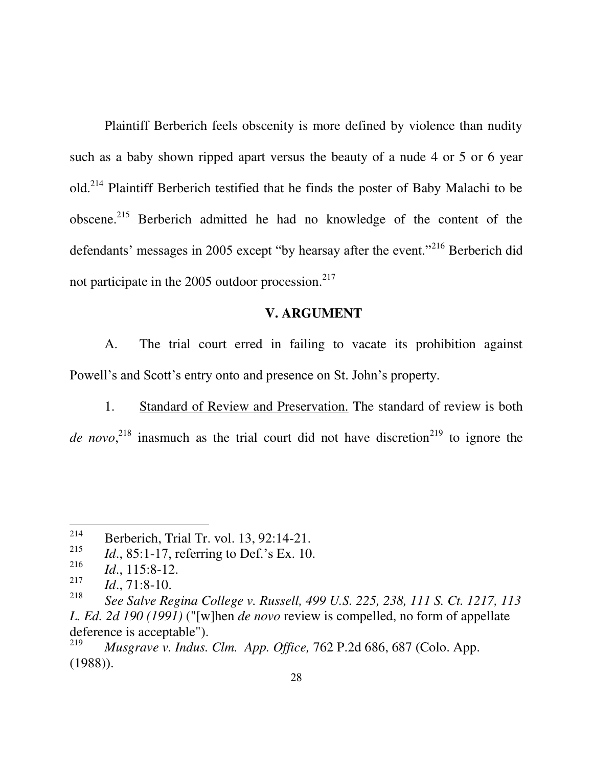Plaintiff Berberich feels obscenity is more defined by violence than nudity such as a baby shown ripped apart versus the beauty of a nude 4 or 5 or 6 year old.<sup>214</sup> Plaintiff Berberich testified that he finds the poster of Baby Malachi to be obscene.<sup>215</sup> Berberich admitted he had no knowledge of the content of the defendants' messages in 2005 except "by hearsay after the event."<sup>216</sup> Berberich did not participate in the 2005 outdoor procession. $2^{17}$ 

#### **V. ARGUMENT**

A. The trial court erred in failing to vacate its prohibition against Powell's and Scott's entry onto and presence on St. John's property.

1. Standard of Review and Preservation. The standard of review is both *de novo*,<sup>218</sup> inasmuch as the trial court did not have discretion<sup>219</sup> to ignore the

<sup>214</sup> Berberich, Trial Tr. vol. 13, 92:14-21.

<sup>215</sup> *Id.*, 85:1-17, referring to Def.'s Ex. 10.

<sup>216</sup> *Id*., 115:8-12.

<sup>217</sup> *Id*., 71:8-10.

<span id="page-35-1"></span><sup>218</sup> *See Salve Regina College v. Russell, 499 U.S. 225, 238, 111 S. Ct. 1217, 113 L. Ed. 2d 190 (1991)* ("[w]hen *de novo* review is compelled, no form of appellate deference is acceptable").<br> $\frac{219}{100}$  Museuma y Indus

<span id="page-35-0"></span><sup>219</sup> *Musgrave v. Indus. Clm. App. Office,* 762 P.2d 686, 687 (Colo. App. (1988)).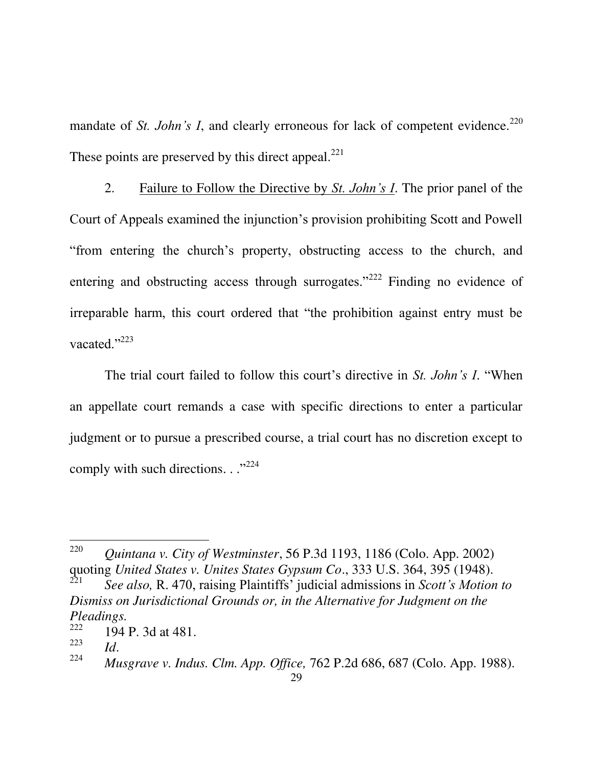mandate of *St. John's I*, and clearly erroneous for lack of competent evidence.<sup>220</sup> These points are preserved by this direct appeal. $^{221}$ 

2. Failure to Follow the Directive by *St. John's I*. The prior panel of the Court of Appeals examined the injunction"s provision prohibiting Scott and Powell "from entering the church"s property, obstructing access to the church, and entering and obstructing access through surrogates."<sup>222</sup> Finding no evidence of irreparable harm, this court ordered that "the prohibition against entry must be vacated."<sup>223</sup>

The trial court failed to follow this court's directive in *St. John's I.* "When an appellate court remands a case with specific directions to enter a particular judgment or to pursue a prescribed course, a trial court has no discretion except to comply with such directions.  $\cdot$ ."<sup>224</sup>

<span id="page-36-1"></span><sup>220</sup> *Quintana v. City of Westminster*, 56 P.3d 1193, 1186 (Colo. App. 2002) quoting *United States v. Unites States Gypsum Co*., 333 U.S. 364, 395 (1948).

<sup>221</sup> *See also,* R. 470, raising Plaintiffs" judicial admissions in *Scott's Motion to Dismiss on Jurisdictional Grounds or, in the Alternative for Judgment on the Pleadings.*

<sup>222</sup> 194 P. 3d at 481.

<sup>223</sup> *Id*.

<span id="page-36-0"></span><sup>224</sup> *Musgrave v. Indus. Clm. App. Office,* 762 P.2d 686, 687 (Colo. App. 1988).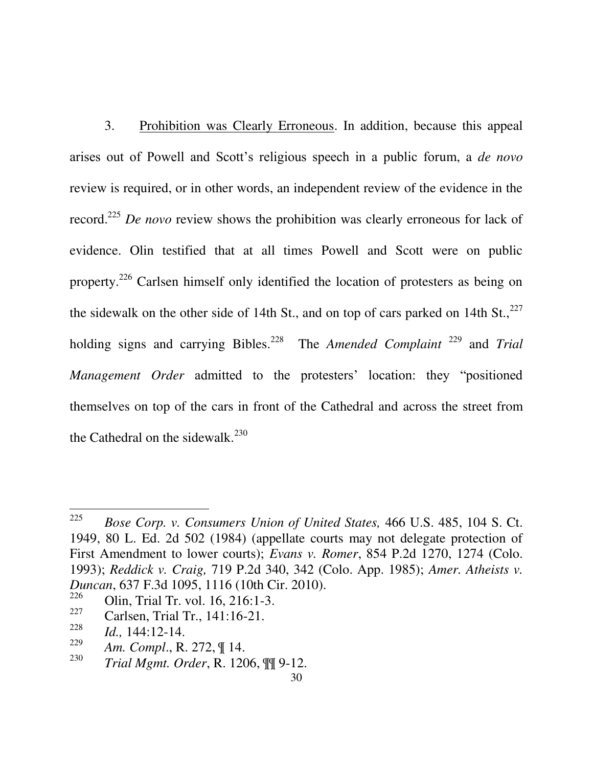3. Prohibition was Clearly Erroneous. In addition, because this appeal arises out of Powell and Scott"s religious speech in a public forum, a *de novo* review is required, or in other words, an independent review of the evidence in the record.<sup>225</sup> *De novo* review shows the prohibition was clearly erroneous for lack of evidence. Olin testified that at all times Powell and Scott were on public property.<sup>226</sup> Carlsen himself only identified the location of protesters as being on the sidewalk on the other side of 14th St., and on top of cars parked on 14th St.,  $227$ holding signs and carrying Bibles.<sup>228</sup> The *Amended Complaint* <sup>229</sup> and *Trial Management Order* admitted to the protesters' location: they "positioned themselves on top of the cars in front of the Cathedral and across the street from the Cathedral on the sidewalk. $^{230}$ 

227 Carlsen, Trial Tr., 141:16-21.

<span id="page-37-2"></span><span id="page-37-1"></span><sup>225</sup> *Bose Corp. v. Consumers Union of United States,* 466 U.S. 485, 104 S. Ct. 1949, 80 L. Ed. 2d 502 (1984) (appellate courts may not delegate protection of First Amendment to lower courts); *Evans v. Romer*, 854 P.2d 1270, 1274 (Colo. 1993); *Reddick v. Craig,* 719 P.2d 340, 342 (Colo. App. 1985); *Amer. Atheists v. Duncan*, 637 F.3d 1095, 1116 (10th Cir. 2010).

<span id="page-37-3"></span><span id="page-37-0"></span><sup>226</sup> Olin, Trial Tr. vol. 16, 216:1-3.

<sup>228</sup> *Id.,* 144:12-14.

<sup>229</sup> *Am. Compl*., R. 272, ¶ 14.

<sup>230</sup> *Trial Mgmt. Order*, R. 1206, ¶¶ 9-12.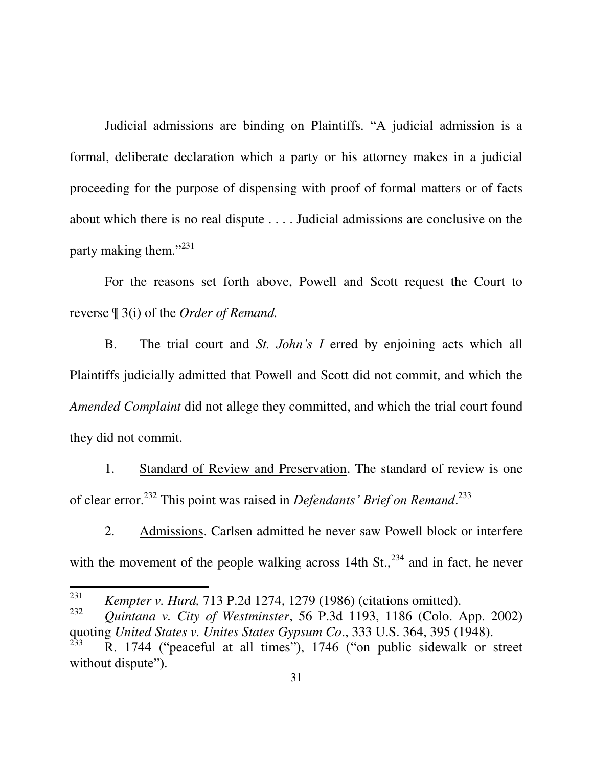Judicial admissions are binding on Plaintiffs. "A judicial admission is a formal, deliberate declaration which a party or his attorney makes in a judicial proceeding for the purpose of dispensing with proof of formal matters or of facts about which there is no real dispute . . . . Judicial admissions are conclusive on the party making them."<sup>231</sup>

For the reasons set forth above, Powell and Scott request the Court to reverse ¶ 3(i) of the *Order of Remand.* 

B. The trial court and *St. John's I* erred by enjoining acts which all Plaintiffs judicially admitted that Powell and Scott did not commit, and which the *Amended Complaint* did not allege they committed, and which the trial court found they did not commit.

1. Standard of Review and Preservation. The standard of review is one of clear error.<sup>232</sup> This point was raised in *Defendants' Brief on Remand*.<sup>233</sup>

2. Admissions. Carlsen admitted he never saw Powell block or interfere with the movement of the people walking across 14th  $St.,<sup>234</sup>$  and in fact, he never

<span id="page-38-0"></span><sup>231</sup> *Kempter v. Hurd,* 713 P.2d 1274, 1279 (1986) (citations omitted).

<span id="page-38-1"></span><sup>232</sup> *Quintana v. City of Westminster*, 56 P.3d 1193, 1186 (Colo. App. 2002) quoting *United States v. Unites States Gypsum Co*., 333 U.S. 364, 395 (1948).

<sup>233</sup> R. 1744 ("peaceful at all times"), 1746 ("on public sidewalk or street without dispute").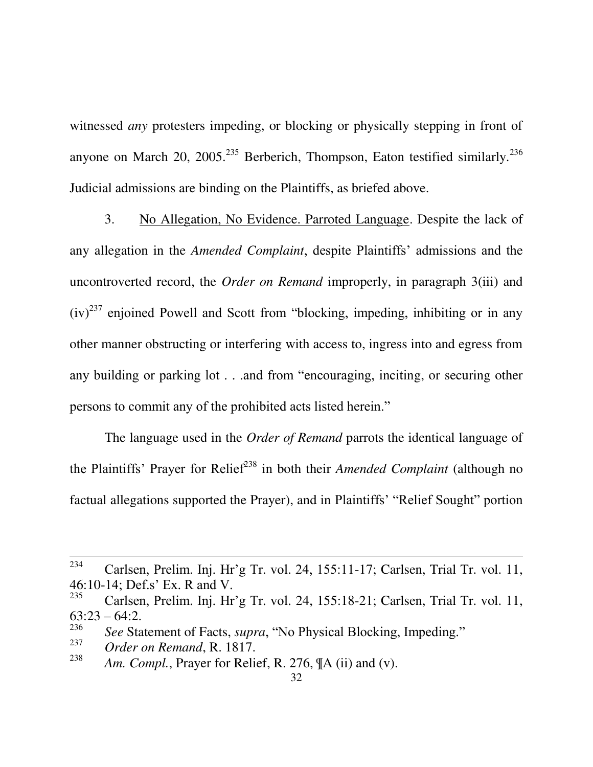witnessed *any* protesters impeding, or blocking or physically stepping in front of anyone on March 20, 2005.<sup>235</sup> Berberich, Thompson, Eaton testified similarly.<sup>236</sup> Judicial admissions are binding on the Plaintiffs, as briefed above.

3. No Allegation, No Evidence. Parroted Language. Despite the lack of any allegation in the *Amended Complaint*, despite Plaintiffs" admissions and the uncontroverted record, the *Order on Remand* improperly, in paragraph 3(iii) and  $(iv)^{237}$  enjoined Powell and Scott from "blocking, impeding, inhibiting or in any other manner obstructing or interfering with access to, ingress into and egress from any building or parking lot . . .and from "encouraging, inciting, or securing other persons to commit any of the prohibited acts listed herein."

The language used in the *Order of Remand* parrots the identical language of the Plaintiffs' Prayer for Relief<sup>238</sup> in both their *Amended Complaint* (although no factual allegations supported the Prayer), and in Plaintiffs" "Relief Sought" portion

 $\overline{a}$ 

238 *Am. Compl.*, Prayer for Relief, R. 276, ¶A (ii) and (v).

<sup>234</sup> Carlsen, Prelim. Inj. Hr"g Tr. vol. 24, 155:11-17; Carlsen, Trial Tr. vol. 11, 46:10-14; Def.s" Ex. R and V.

<sup>235</sup> Carlsen, Prelim. Inj. Hr"g Tr. vol. 24, 155:18-21; Carlsen, Trial Tr. vol. 11,  $63:23 - 64:2$ .

<sup>236</sup> *See* Statement of Facts, *supra*, "No Physical Blocking, Impeding."

<sup>237</sup> *Order on Remand*, R. 1817.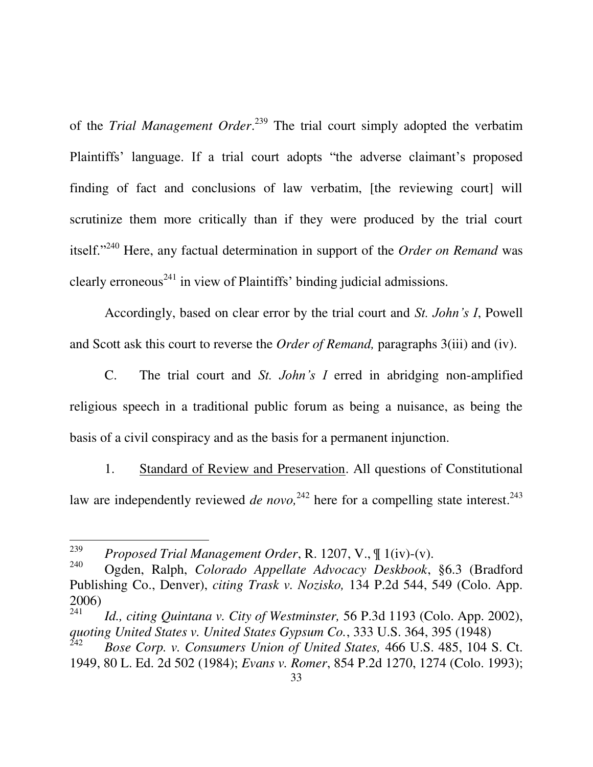of the *Trial Management Order*. <sup>239</sup> The trial court simply adopted the verbatim Plaintiffs' language. If a trial court adopts "the adverse claimant's proposed finding of fact and conclusions of law verbatim, [the reviewing court] will scrutinize them more critically than if they were produced by the trial court itself."<sup>240</sup> Here, any factual determination in support of the *Order on Remand* was clearly erroneous<sup> $241$ </sup> in view of Plaintiffs' binding judicial admissions.

Accordingly, based on clear error by the trial court and *St. John's I*, Powell and Scott ask this court to reverse the *Order of Remand,* paragraphs 3(iii) and (iv).

C. The trial court and *St. John's I* erred in abridging non-amplified religious speech in a traditional public forum as being a nuisance, as being the basis of a civil conspiracy and as the basis for a permanent injunction.

1. Standard of Review and Preservation. All questions of Constitutional law are independently reviewed *de novo*,<sup>242</sup> here for a compelling state interest.<sup>243</sup>

<sup>239</sup> *Proposed Trial Management Order*, R. 1207, V., ¶ 1(iv)-(v).

<span id="page-40-2"></span><sup>240</sup> Ogden, Ralph, *Colorado Appellate Advocacy Deskbook*, §6.3 (Bradford Publishing Co., Denver), *citing Trask v. Nozisko,* 134 P.2d 544, 549 (Colo. App. 2006)

<sup>241</sup> *Id., citing Quintana v. City of Westminster,* 56 P.3d 1193 (Colo. App. 2002), *quoting United States v. United States Gypsum Co.*, 333 U.S. 364, 395 (1948)

<span id="page-40-1"></span><span id="page-40-0"></span><sup>242</sup> *Bose Corp. v. Consumers Union of United States,* 466 U.S. 485, 104 S. Ct. 1949, 80 L. Ed. 2d 502 (1984); *Evans v. Romer*, 854 P.2d 1270, 1274 (Colo. 1993);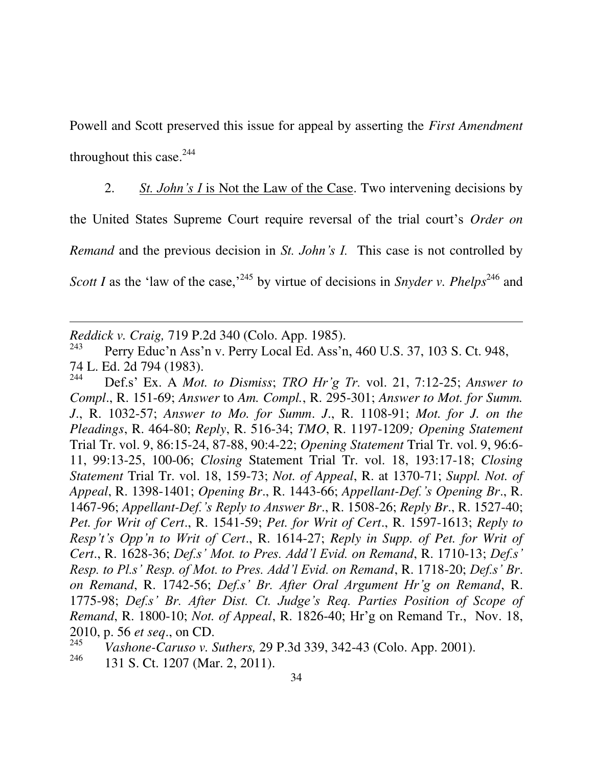Powell and Scott preserved this issue for appeal by asserting the *First Amendment* throughout this case. $244$ 

2. *St. John's I* is Not the Law of the Case. Two intervening decisions by the United States Supreme Court require reversal of the trial court"s *Order on Remand* and the previous decision in *St. John's I.* This case is not controlled by *Scott I* as the 'law of the case,<sup>245</sup> by virtue of decisions in *Snyder v. Phelps*<sup>246</sup> and

<span id="page-41-0"></span>*Reddick v. Craig,* 719 P.2d 340 (Colo. App. 1985).

<span id="page-41-1"></span> $\overline{a}$ 

243 Perry Educ'n Ass'n v. Perry Local Ed. Ass'n, 460 U.S. 37, 103 S. Ct. 948, 74 L. Ed. 2d 794 (1983).

244 Def.s" Ex. A *Mot. to Dismiss*; *TRO Hr'g Tr.* vol. 21, 7:12-25; *Answer to Compl*., R. 151-69; *Answer* to *Am. Compl.*, R. 295-301; *Answer to Mot. for Summ. J*., R. 1032-57; *Answer to Mo. for Summ*. *J*., R. 1108-91; *Mot. for J. on the Pleadings*, R. 464-80; *Reply*, R. 516-34; *TMO*, R. 1197-1209*; Opening Statement* Trial Tr. vol. 9, 86:15-24, 87-88, 90:4-22; *Opening Statement* Trial Tr. vol. 9, 96:6- 11, 99:13-25, 100-06; *Closing* Statement Trial Tr. vol. 18, 193:17-18; *Closing Statement* Trial Tr. vol. 18, 159-73; *Not. of Appeal*, R. at 1370-71; *Suppl. Not. of Appeal*, R. 1398-1401; *Opening Br*., R. 1443-66; *Appellant-Def.'s Opening Br*., R. 1467-96; *Appellant-Def.'s Reply to Answer Br*., R. 1508-26; *Reply Br*., R. 1527-40; *Pet. for Writ of Cert*., R. 1541-59; *Pet. for Writ of Cert*., R. 1597-1613; *Reply to Resp't's Opp'n to Writ of Cert*., R. 1614-27; *Reply in Supp. of Pet. for Writ of Cert*., R. 1628-36; *Def.s' Mot. to Pres. Add'l Evid. on Remand*, R. 1710-13; *Def.s' Resp. to Pl.s' Resp. of Mot. to Pres. Add'l Evid. on Remand*, R. 1718-20; *Def.s' Br*. *on Remand*, R. 1742-56; *Def.s' Br. After Oral Argument Hr'g on Remand*, R. 1775-98; *Def.s' Br. After Dist. Ct. Judge's Req. Parties Position of Scope of Remand*, R. 1800-10; *Not. of Appeal*, R. 1826-40; Hr"g on Remand Tr., Nov. 18, 2010, p. 56 *et seq*., on CD.

<span id="page-41-2"></span><sup>245</sup> *Vashone-Caruso v. Suthers,* 29 P.3d 339, 342-43 (Colo. App. 2001).

<sup>246</sup> 131 S. Ct. 1207 (Mar. 2, 2011).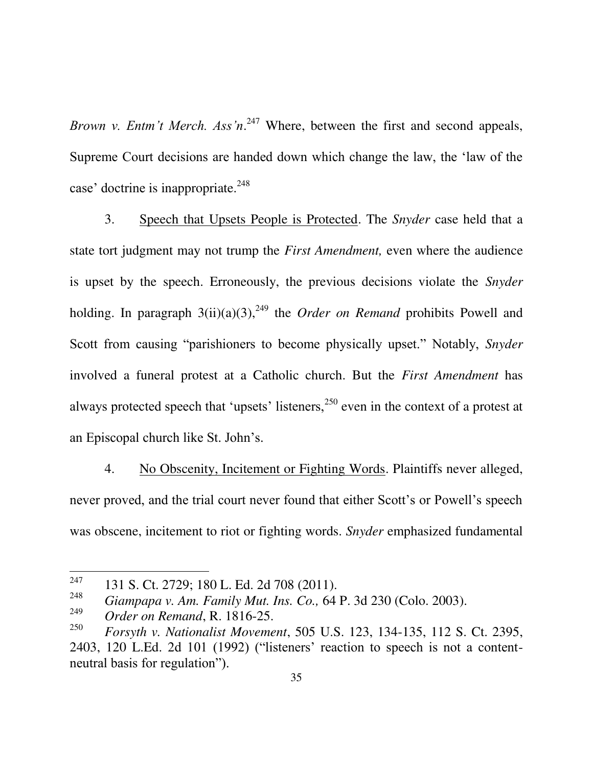<span id="page-42-0"></span>*Brown v. Entm't Merch. Ass'n*. <sup>247</sup> Where, between the first and second appeals, Supreme Court decisions are handed down which change the law, the "law of the case' doctrine is inappropriate.<sup>248</sup>

<span id="page-42-3"></span>3. Speech that Upsets People is Protected. The *Snyder* case held that a state tort judgment may not trump the *First Amendment,* even where the audience is upset by the speech. Erroneously, the previous decisions violate the *Snyder* holding. In paragraph  $3(ii)(a)(3)$ ,<sup>249</sup> the *Order on Remand* prohibits Powell and Scott from causing "parishioners to become physically upset." Notably, *Snyder* involved a funeral protest at a Catholic church. But the *First Amendment* has always protected speech that 'upsets' listeners,  $250$  even in the context of a protest at an Episcopal church like St. John"s.

4. No Obscenity, Incitement or Fighting Words. Plaintiffs never alleged, never proved, and the trial court never found that either Scott's or Powell's speech was obscene, incitement to riot or fighting words. *Snyder* emphasized fundamental

<sup>247</sup> <sup>247</sup> 131 S. Ct. 2729; 180 L. Ed. 2d 708 (2011).

<span id="page-42-2"></span><sup>248</sup> *Giampapa v. Am. Family Mut. Ins. Co.,* 64 P. 3d 230 (Colo. 2003).

<sup>249</sup> *Order on Remand*, R. 1816-25.

<span id="page-42-1"></span><sup>250</sup> *Forsyth v. Nationalist Movement*, 505 U.S. 123, 134-135, 112 S. Ct. 2395, 2403, 120 L.Ed. 2d 101 (1992) ("listeners" reaction to speech is not a contentneutral basis for regulation").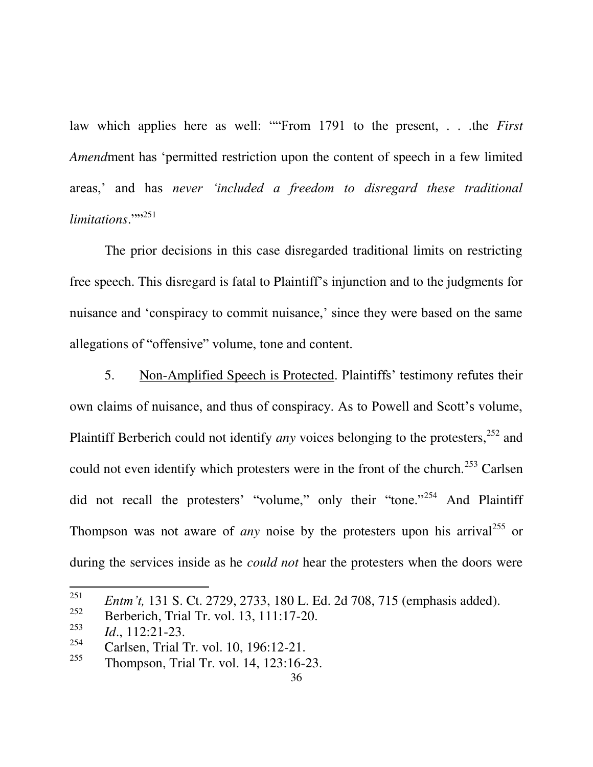law which applies here as well: ""From 1791 to the present, . . .the *First Amend*ment has "permitted restriction upon the content of speech in a few limited areas," and has *never 'included a freedom to disregard these traditional limitations*."" 251

The prior decisions in this case disregarded traditional limits on restricting free speech. This disregard is fatal to Plaintiff"s injunction and to the judgments for nuisance and 'conspiracy to commit nuisance,' since they were based on the same allegations of "offensive" volume, tone and content.

5. Non-Amplified Speech is Protected. Plaintiffs" testimony refutes their own claims of nuisance, and thus of conspiracy. As to Powell and Scott"s volume, Plaintiff Berberich could not identify *any* voices belonging to the protesters,<sup>252</sup> and could not even identify which protesters were in the front of the church.<sup>253</sup> Carlsen did not recall the protesters' "volume," only their "tone."<sup>254</sup> And Plaintiff Thompson was not aware of *any* noise by the protesters upon his arrival<sup>255</sup> or during the services inside as he *could not* hear the protesters when the doors were

<sup>251</sup> *Entm't,* 131 S. Ct. 2729, 2733, 180 L. Ed. 2d 708, 715 (emphasis added).

<sup>252</sup> Berberich, Trial Tr. vol. 13, 111:17-20.

<sup>253</sup> *Id*., 112:21-23.

<sup>254</sup> <sup>254</sup> Carlsen, Trial Tr. vol. 10, 196:12-21.<br><sup>255</sup> Thompson Trial Tr. vol. 14, 122:16

<sup>255</sup> Thompson, Trial Tr. vol. 14, 123:16-23.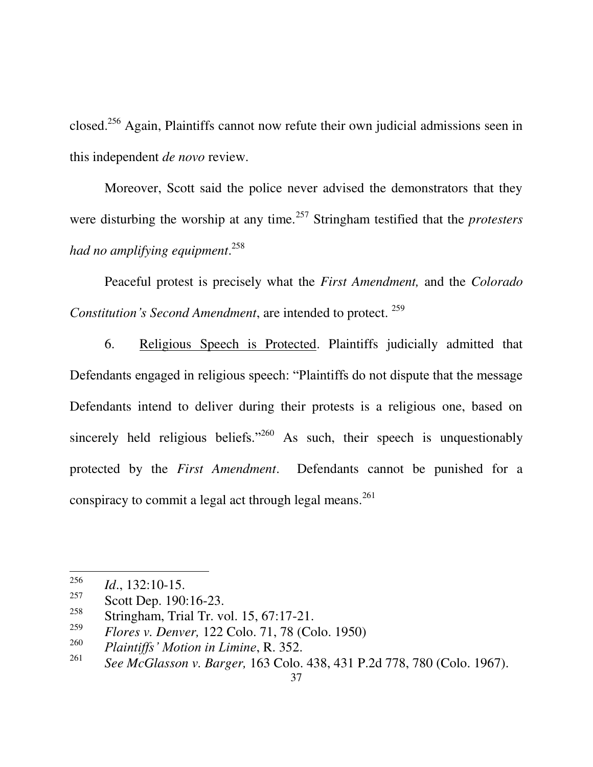closed.<sup>256</sup> Again, Plaintiffs cannot now refute their own judicial admissions seen in this independent *de novo* review.

Moreover, Scott said the police never advised the demonstrators that they were disturbing the worship at any time.<sup>257</sup> Stringham testified that the *protesters had no amplifying equipment*. 258

Peaceful protest is precisely what the *First Amendment,* and the *Colorado Constitution's Second Amendment*, are intended to protect. <sup>259</sup>

6. Religious Speech is Protected. Plaintiffs judicially admitted that Defendants engaged in religious speech: "Plaintiffs do not dispute that the message Defendants intend to deliver during their protests is a religious one, based on sincerely held religious beliefs."<sup>260</sup> As such, their speech is unquestionably protected by the *First Amendment*. Defendants cannot be punished for a conspiracy to commit a legal act through legal means.<sup>261</sup>

<sup>256</sup>  $\frac{256}{257}$  *Id.*, 132:10-15.

 $\frac{257}{258}$  Scott Dep. 190:16-23.

Stringham, Trial Tr. vol. 15, 67:17-21.

<span id="page-44-0"></span><sup>259</sup> *Flores v. Denver,* [122 Colo. 71, 78 \(Colo. 1950\)](http://www.lexis.com/research/xlink?app=00075&view=full&searchtype=get&search=122+Colo.+71%252520at%25252078%2520at%252078)

<sup>260</sup> *Plaintiffs' Motion in Limine*, R. 352.

<span id="page-44-1"></span><sup>261</sup> *See McGlasson v. Barger,* 163 Colo. 438, 431 P.2d 778, 780 (Colo. 1967).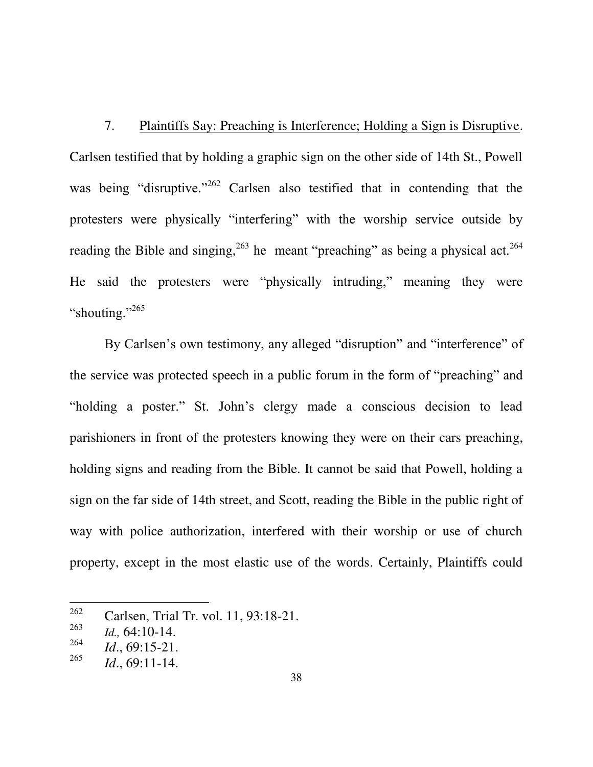7. Plaintiffs Say: Preaching is Interference; Holding a Sign is Disruptive. Carlsen testified that by holding a graphic sign on the other side of 14th St., Powell was being "disruptive."<sup>262</sup> Carlsen also testified that in contending that the protesters were physically "interfering" with the worship service outside by reading the Bible and singing,  $263$  he meant "preaching" as being a physical act.  $264$ He said the protesters were "physically intruding," meaning they were "shouting."<sup>265</sup>

By Carlsen's own testimony, any alleged "disruption" and "interference" of the service was protected speech in a public forum in the form of "preaching" and "holding a poster." St. John"s clergy made a conscious decision to lead parishioners in front of the protesters knowing they were on their cars preaching, holding signs and reading from the Bible. It cannot be said that Powell, holding a sign on the far side of 14th street, and Scott, reading the Bible in the public right of way with police authorization, interfered with their worship or use of church property, except in the most elastic use of the words. Certainly, Plaintiffs could

<sup>262</sup> Carlsen, Trial Tr. vol. 11, 93:18-21.

<sup>263</sup> *Id.,* 64:10-14.

<sup>264</sup> *Id*., 69:15-21.

<sup>265</sup> *Id*., 69:11-14.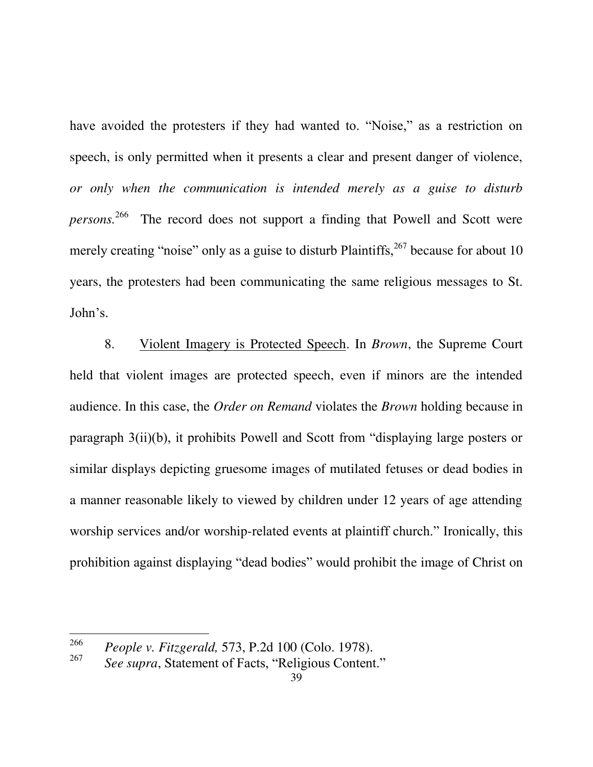have avoided the protesters if they had wanted to. "Noise," as a restriction on speech, is only permitted when it presents a clear and present danger of violence, *or only when the communication is intended merely as a guise to disturb persons.* 266 The record does not support a finding that Powell and Scott were merely creating "noise" only as a guise to disturb Plaintiffs,  $267$  because for about 10 years, the protesters had been communicating the same religious messages to St. John"s.

8. Violent Imagery is Protected Speech. In *Brown*, the Supreme Court held that violent images are protected speech, even if minors are the intended audience. In this case, the *Order on Remand* violates the *Brown* holding because in paragraph 3(ii)(b), it prohibits Powell and Scott from "displaying large posters or similar displays depicting gruesome images of mutilated fetuses or dead bodies in a manner reasonable likely to viewed by children under 12 years of age attending worship services and/or worship-related events at plaintiff church." Ironically, this prohibition against displaying "dead bodies" would prohibit the image of Christ on

<sup>266</sup> *People v. Fitzgerald,* 573, P.2d 100 (Colo. 1978).

<sup>267</sup> *See supra*, Statement of Facts, "Religious Content."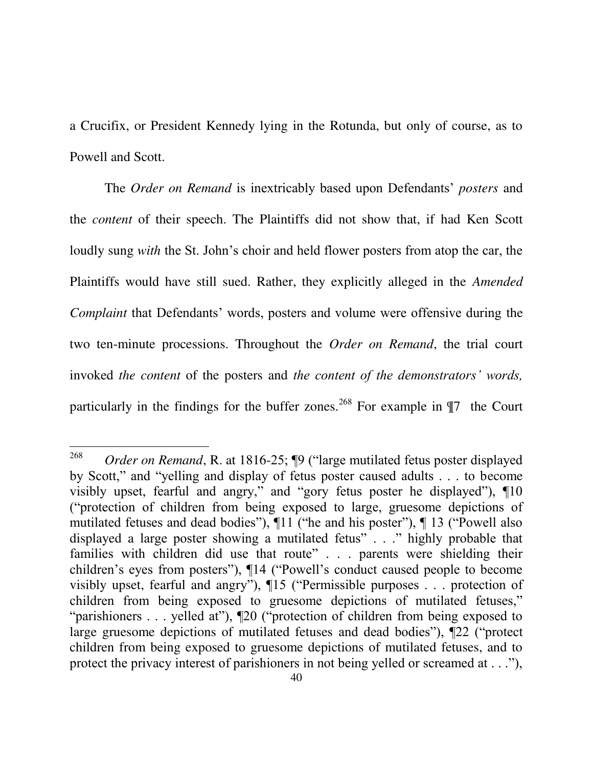a Crucifix, or President Kennedy lying in the Rotunda, but only of course, as to Powell and Scott.

The *Order on Remand* is inextricably based upon Defendants" *posters* and the *content* of their speech. The Plaintiffs did not show that, if had Ken Scott loudly sung *with* the St. John's choir and held flower posters from atop the car, the Plaintiffs would have still sued. Rather, they explicitly alleged in the *Amended Complaint* that Defendants' words, posters and volume were offensive during the two ten-minute processions. Throughout the *Order on Remand*, the trial court invoked *the content* of the posters and *the content of the demonstrators' words,*  particularly in the findings for the buffer zones.<sup>268</sup> For example in  $\P7$  the Court

<sup>268</sup> *Order on Remand*, R. at 1816-25; ¶9 ("large mutilated fetus poster displayed by Scott," and "yelling and display of fetus poster caused adults . . . to become visibly upset, fearful and angry," and "gory fetus poster he displayed"), ¶10 ("protection of children from being exposed to large, gruesome depictions of mutilated fetuses and dead bodies"), ¶11 ("he and his poster"), ¶ 13 ("Powell also displayed a large poster showing a mutilated fetus" . . ." highly probable that families with children did use that route" . . . parents were shielding their children"s eyes from posters"), ¶14 ("Powell"s conduct caused people to become visibly upset, fearful and angry"), ¶15 ("Permissible purposes . . . protection of children from being exposed to gruesome depictions of mutilated fetuses," "parishioners . . . yelled at"), ¶20 ("protection of children from being exposed to large gruesome depictions of mutilated fetuses and dead bodies"), ¶22 ("protect children from being exposed to gruesome depictions of mutilated fetuses, and to protect the privacy interest of parishioners in not being yelled or screamed at . . ."),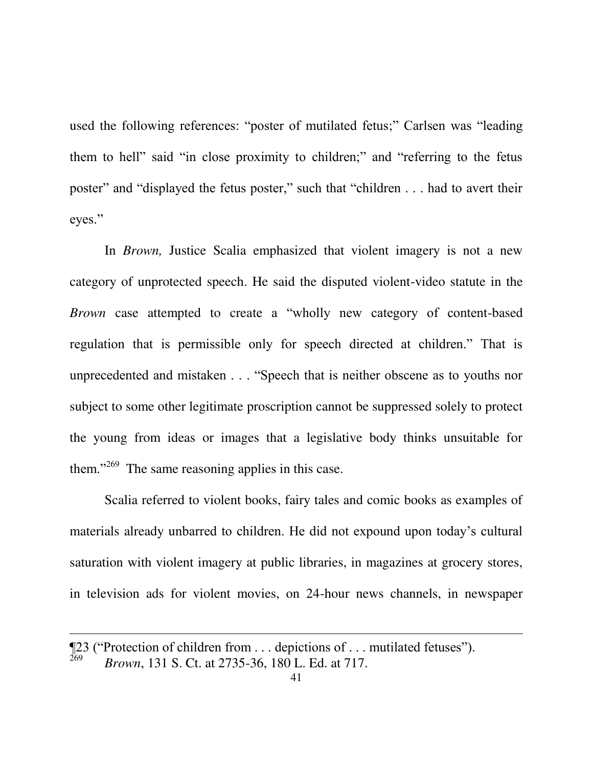used the following references: "poster of mutilated fetus;" Carlsen was "leading them to hell" said "in close proximity to children;" and "referring to the fetus poster" and "displayed the fetus poster," such that "children . . . had to avert their eyes."

In *Brown,* Justice Scalia emphasized that violent imagery is not a new category of unprotected speech. He said the disputed violent-video statute in the *Brown* case attempted to create a "wholly new category of content-based regulation that is permissible only for speech directed at children." That is unprecedented and mistaken . . . "Speech that is neither obscene as to youths nor subject to some other legitimate proscription cannot be suppressed solely to protect the young from ideas or images that a legislative body thinks unsuitable for them."<sup>269</sup> The same reasoning applies in this case.

Scalia referred to violent books, fairy tales and comic books as examples of materials already unbarred to children. He did not expound upon today"s cultural saturation with violent imagery at public libraries, in magazines at grocery stores, in television ads for violent movies, on 24-hour news channels, in newspaper

<sup>¶23 (&</sup>quot;Protection of children from . . . depictions of . . . mutilated fetuses"). 269 *Brown*, 131 S. Ct. at 2735-36, 180 L. Ed. at 717.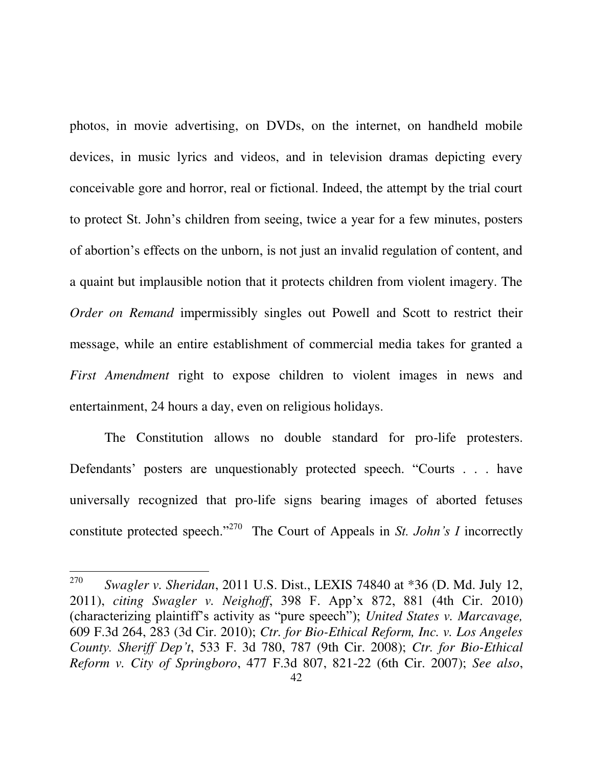photos, in movie advertising, on DVDs, on the internet, on handheld mobile devices, in music lyrics and videos, and in television dramas depicting every conceivable gore and horror, real or fictional. Indeed, the attempt by the trial court to protect St. John"s children from seeing, twice a year for a few minutes, posters of abortion"s effects on the unborn, is not just an invalid regulation of content, and a quaint but implausible notion that it protects children from violent imagery. The *Order on Remand* impermissibly singles out Powell and Scott to restrict their message, while an entire establishment of commercial media takes for granted a *First Amendment* right to expose children to violent images in news and entertainment, 24 hours a day, even on religious holidays.

The Constitution allows no double standard for pro-life protesters. Defendants' posters are unquestionably protected speech. "Courts . . . have universally recognized that pro-life signs bearing images of aborted fetuses constitute protected speech."<sup>270</sup> The Court of Appeals in *St. John's I* incorrectly

<span id="page-49-3"></span><span id="page-49-2"></span><span id="page-49-1"></span><span id="page-49-0"></span><sup>270</sup> *Swagler v. Sheridan*, 2011 U.S. Dist., LEXIS 74840 at \*36 (D. Md. July 12, 2011), *citing Swagler v. Neighoff*, 398 F. App"x 872, 881 (4th Cir. 2010) (characterizing plaintiff"s activity as "pure speech"); *United States v. Marcavage,* 609 F.3d 264, 283 (3d Cir. 2010); *Ctr. for Bio-Ethical Reform, Inc. v. Los Angeles County. Sheriff Dep't*, 533 F. 3d 780, 787 (9th Cir. 2008); *Ctr. for Bio-Ethical Reform v. City of Springboro*, 477 F.3d 807, 821-22 (6th Cir. 2007); *See also*,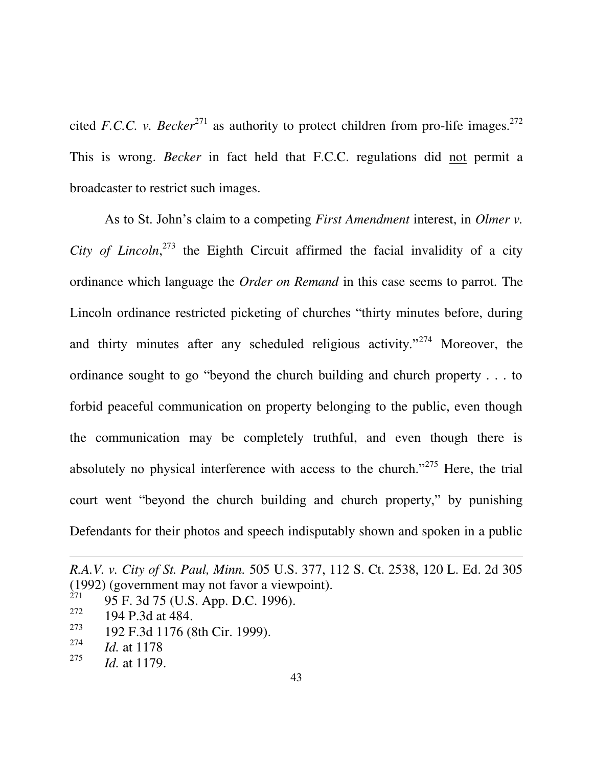<span id="page-50-0"></span>cited *F.C.C. v. Becker*<sup>271</sup> as authority to protect children from pro-life images.<sup>272</sup> This is wrong. *Becker* in fact held that F.C.C. regulations did not permit a broadcaster to restrict such images.

<span id="page-50-1"></span>As to St. John"s claim to a competing *First Amendment* interest, in *Olmer v.*  City of Lincoln,<sup>273</sup> the Eighth Circuit affirmed the facial invalidity of a city ordinance which language the *Order on Remand* in this case seems to parrot*.* The Lincoln ordinance restricted picketing of churches "thirty minutes before, during and thirty minutes after any scheduled religious activity."<sup>274</sup> Moreover, the ordinance sought to go "beyond the church building and church property . . . to forbid peaceful communication on property belonging to the public, even though the communication may be completely truthful, and even though there is absolutely no physical interference with access to the church."<sup>275</sup> Here, the trial court went "beyond the church building and church property," by punishing Defendants for their photos and speech indisputably shown and spoken in a public

- 273 192 F.3d 1176 (8th Cir. 1999).
- 274 *Id.* at 1178

<span id="page-50-2"></span>*R.A.V. v. City of St. Paul, Minn.* 505 U.S. 377, 112 S. Ct. 2538, 120 L. Ed. 2d 305 (1992) (government may not favor a viewpoint).

<sup>271</sup> 95 F. 3d 75 (U.S. App. D.C. 1996).

<sup>272</sup> 194 P.3d at 484.

<sup>275</sup> *Id.* at 1179.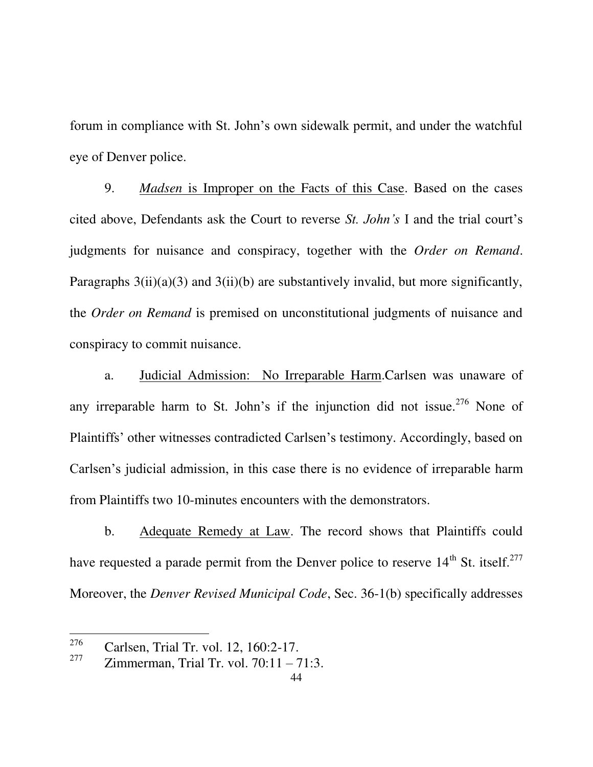forum in compliance with St. John"s own sidewalk permit, and under the watchful eye of Denver police.

<span id="page-51-0"></span>9. *Madsen* is Improper on the Facts of this Case. Based on the cases cited above, Defendants ask the Court to reverse *St. John's* I and the trial court"s judgments for nuisance and conspiracy, together with the *Order on Remand*. Paragraphs  $3(ii)(a)(3)$  and  $3(ii)(b)$  are substantively invalid, but more significantly, the *Order on Remand* is premised on unconstitutional judgments of nuisance and conspiracy to commit nuisance.

a. Judicial Admission: No Irreparable Harm.Carlsen was unaware of any irreparable harm to St. John's if the injunction did not issue.<sup>276</sup> None of Plaintiffs" other witnesses contradicted Carlsen"s testimony. Accordingly, based on Carlsen"s judicial admission, in this case there is no evidence of irreparable harm from Plaintiffs two 10-minutes encounters with the demonstrators.

b. Adequate Remedy at Law. The record shows that Plaintiffs could have requested a parade permit from the Denver police to reserve  $14<sup>th</sup>$  St. itself.<sup>277</sup> Moreover, the *Denver Revised Municipal Code*, Sec. 36-1(b) specifically addresses

<sup>&</sup>lt;sup>276</sup> Carlsen, Trial Tr. vol. 12, 160:2-17.

<sup>277</sup> Zimmerman, Trial Tr. vol. 70:11 – 71:3.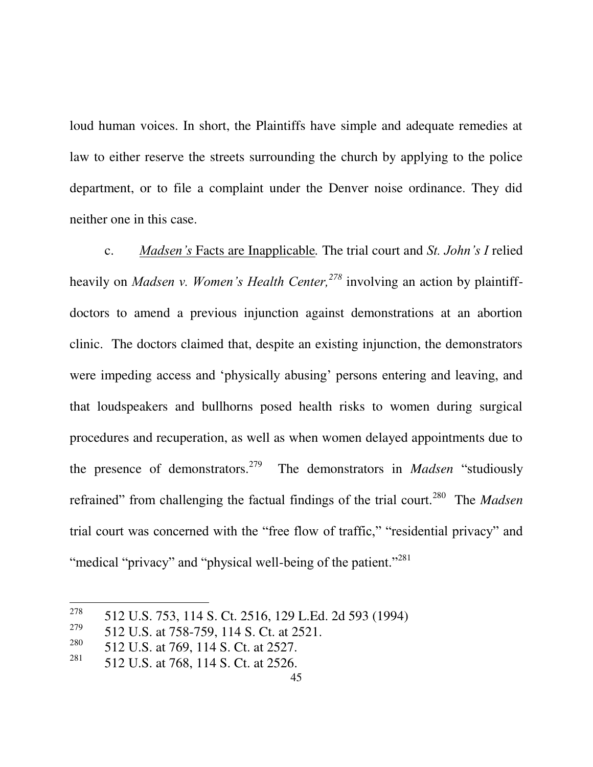loud human voices. In short, the Plaintiffs have simple and adequate remedies at law to either reserve the streets surrounding the church by applying to the police department, or to file a complaint under the Denver noise ordinance. They did neither one in this case.

<span id="page-52-0"></span>c. *Madsen's* Facts are Inapplicable*.* The trial court and *St. John's I* relied heavily on *Madsen v. Women's Health Center,<sup>278</sup>* involving an action by plaintiffdoctors to amend a previous injunction against demonstrations at an abortion clinic. The doctors claimed that, despite an existing injunction, the demonstrators were impeding access and 'physically abusing' persons entering and leaving, and that loudspeakers and bullhorns posed health risks to women during surgical procedures and recuperation, as well as when women delayed appointments due to the presence of demonstrators.<sup>279</sup> The demonstrators in *Madsen* "studiously refrained" from challenging the factual findings of the trial court.<sup>280</sup> The *Madsen* trial court was concerned with the "free flow of traffic," "residential privacy" and "medical "privacy" and "physical well-being of the patient."<sup>281</sup>

<sup>278</sup> 512 U.S. 753, 114 S. Ct. 2516, 129 L.Ed. 2d 593 (1994)

<sup>279</sup> 512 U.S. at 758-759, 114 S. Ct. at 2521.

<sup>280</sup> 512 U.S. at 769, 114 S. Ct. at 2527.

<sup>281</sup> 512 U.S. at 768, 114 S. Ct. at 2526.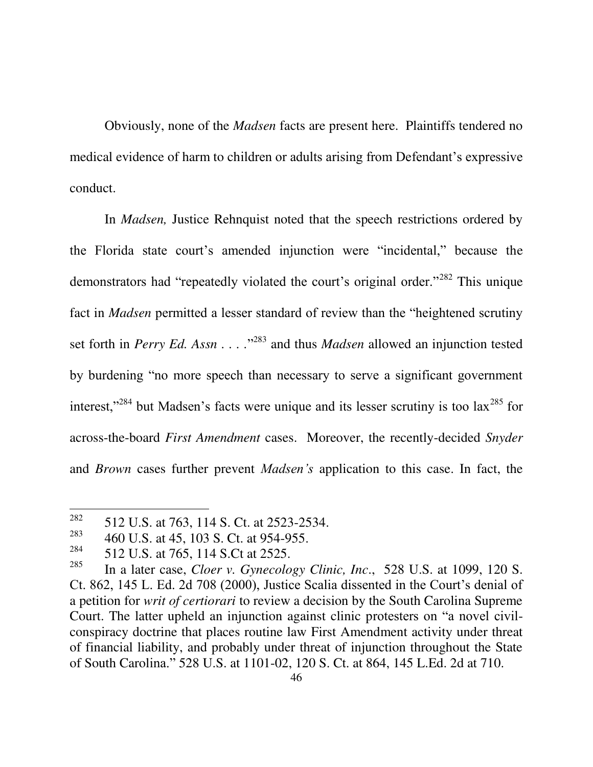<span id="page-53-1"></span>Obviously, none of the *Madsen* facts are present here. Plaintiffs tendered no medical evidence of harm to children or adults arising from Defendant"s expressive conduct.

In *Madsen,* Justice Rehnquist noted that the speech restrictions ordered by the Florida state court's amended injunction were "incidental," because the demonstrators had "repeatedly violated the court's original order."<sup>282</sup> This unique fact in *Madsen* permitted a lesser standard of review than the "heightened scrutiny set forth in *Perry Ed. Assn* . . . .<sup>2283</sup> and thus *Madsen* allowed an injunction tested by burdening "no more speech than necessary to serve a significant government interest,"<sup>284</sup> but Madsen's facts were unique and its lesser scrutiny is too  $lax^{285}$  for across-the-board *First Amendment* cases. Moreover, the recently-decided *Snyder* and *Brown* cases further prevent *Madsen's* application to this case. In fact, the

<span id="page-53-2"></span><sup>282</sup> 512 U.S. at 763, 114 S. Ct. at 2523-2534.

<sup>283</sup> 460 U.S. at 45, 103 S. Ct. at 954-955.

<sup>284</sup> 512 U.S. at 765, 114 S.Ct at 2525.

<span id="page-53-0"></span><sup>285</sup> In a later case, *Cloer v. Gynecology Clinic, Inc*., 528 U.S. at 1099, 120 S. Ct. 862, 145 L. Ed. 2d 708 (2000), Justice Scalia dissented in the Court's denial of a petition for *writ of certiorari* to review a decision by the South Carolina Supreme Court. The latter upheld an injunction against clinic protesters on "a novel civilconspiracy doctrine that places routine law First Amendment activity under threat of financial liability, and probably under threat of injunction throughout the State of South Carolina." 528 U.S. at 1101-02, 120 S. Ct. at 864, 145 L.Ed. 2d at 710.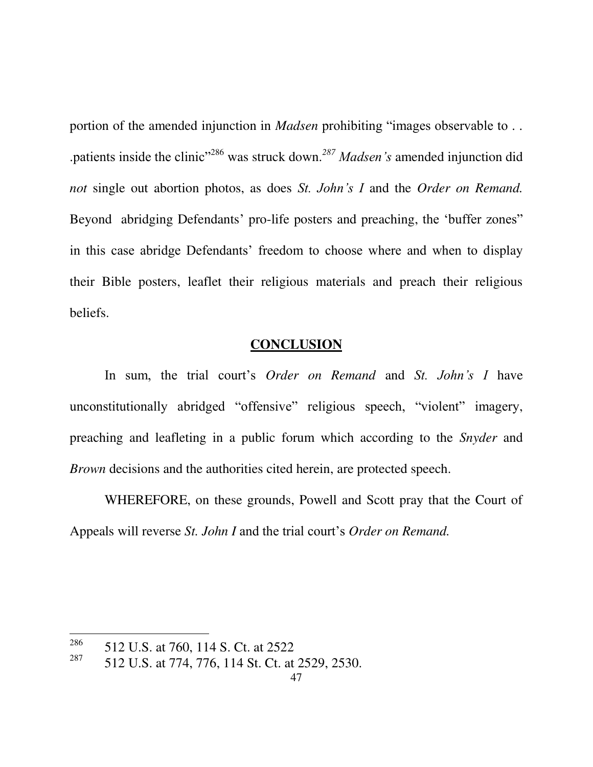<span id="page-54-0"></span>portion of the amended injunction in *Madsen* prohibiting "images observable to . . .patients inside the clinic"<sup>286</sup> was struck down.*<sup>287</sup> Madsen's* amended injunction did *not* single out abortion photos, as does *St. John's I* and the *Order on Remand.*  Beyond abridging Defendants' pro-life posters and preaching, the 'buffer zones'' in this case abridge Defendants' freedom to choose where and when to display their Bible posters, leaflet their religious materials and preach their religious beliefs.

## <span id="page-54-1"></span>**CONCLUSION**

In sum, the trial court"s *Order on Remand* and *St. John's I* have unconstitutionally abridged "offensive" religious speech, "violent" imagery, preaching and leafleting in a public forum which according to the *Snyder* and *Brown* decisions and the authorities cited herein, are protected speech.

WHEREFORE, on these grounds, Powell and Scott pray that the Court of Appeals will reverse *St. John I* and the trial court's *Order on Remand.* 

<sup>286</sup> 512 U.S. at 760, 114 S. Ct. at 2522

<sup>287</sup> 512 U.S. at 774, 776, 114 St. Ct. at 2529, 2530.